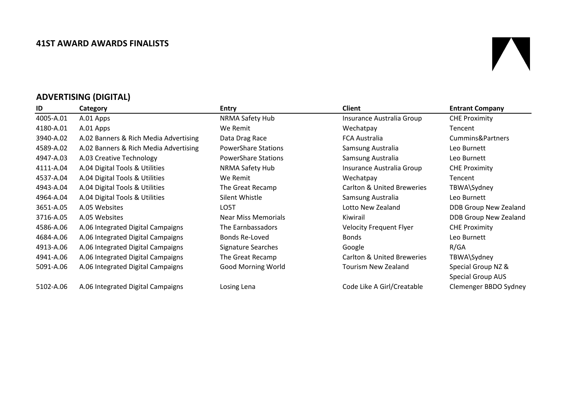#### **41ST AWARD AWARDS FINALISTS**

# $\blacksquare$

# **ADVERTISING (DIGITAL)**

| ID        | Category                              | <b>Entry</b>               | <b>Client</b>                         | <b>Entrant Company</b>       |
|-----------|---------------------------------------|----------------------------|---------------------------------------|------------------------------|
| 4005-A.01 | A.01 Apps                             | NRMA Safety Hub            | Insurance Australia Group             | <b>CHE Proximity</b>         |
| 4180-A.01 | A.01 Apps                             | We Remit                   | Wechatpay                             | Tencent                      |
| 3940-A.02 | A.02 Banners & Rich Media Advertising | Data Drag Race             | <b>FCA Australia</b>                  | Cummins&Partners             |
| 4589-A.02 | A.02 Banners & Rich Media Advertising | <b>PowerShare Stations</b> | Samsung Australia                     | Leo Burnett                  |
| 4947-A.03 | A.03 Creative Technology              | <b>PowerShare Stations</b> | Samsung Australia                     | Leo Burnett                  |
| 4111-A.04 | A.04 Digital Tools & Utilities        | NRMA Safety Hub            | Insurance Australia Group             | <b>CHE Proximity</b>         |
| 4537-A.04 | A.04 Digital Tools & Utilities        | We Remit                   | Wechatpay                             | Tencent                      |
| 4943-A.04 | A.04 Digital Tools & Utilities        | The Great Recamp           | <b>Carlton &amp; United Breweries</b> | TBWA\Sydney                  |
| 4964-A.04 | A.04 Digital Tools & Utilities        | Silent Whistle             | Samsung Australia                     | Leo Burnett                  |
| 3651-A.05 | A.05 Websites                         | LO5T                       | Lotto New Zealand                     | DDB Group New Zealand        |
| 3716-A.05 | A.05 Websites                         | <b>Near Miss Memorials</b> | Kiwirail                              | <b>DDB Group New Zealand</b> |
| 4586-A.06 | A.06 Integrated Digital Campaigns     | The Earnbassadors          | <b>Velocity Frequent Flyer</b>        | <b>CHE Proximity</b>         |
| 4684-A.06 | A.06 Integrated Digital Campaigns     | Bonds Re-Loved             | <b>Bonds</b>                          | Leo Burnett                  |
| 4913-A.06 | A.06 Integrated Digital Campaigns     | Signature Searches         | Google                                | R/GA                         |
| 4941-A.06 | A.06 Integrated Digital Campaigns     | The Great Recamp           | <b>Carlton &amp; United Breweries</b> | TBWA\Sydney                  |
| 5091-A.06 | A.06 Integrated Digital Campaigns     | <b>Good Morning World</b>  | Tourism New Zealand                   | Special Group NZ &           |
|           |                                       |                            |                                       | <b>Special Group AUS</b>     |
| 5102-A.06 | A.06 Integrated Digital Campaigns     | Losing Lena                | Code Like A Girl/Creatable            | Clemenger BBDO Sydney        |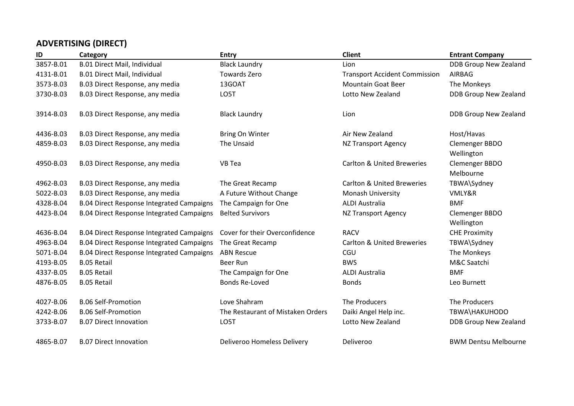# **ADVERTISING (DIRECT)**

| ID        | Category                                         | <b>Entry</b>                      | <b>Client</b>                         | <b>Entrant Company</b>       |
|-----------|--------------------------------------------------|-----------------------------------|---------------------------------------|------------------------------|
| 3857-B.01 | <b>B.01 Direct Mail, Individual</b>              | <b>Black Laundry</b>              | Lion                                  | <b>DDB Group New Zealand</b> |
| 4131-B.01 | B.01 Direct Mail, Individual                     | Towards Zero                      | <b>Transport Accident Commission</b>  | AIRBAG                       |
| 3573-B.03 | B.03 Direct Response, any media                  | 13GOAT                            | <b>Mountain Goat Beer</b>             | The Monkeys                  |
| 3730-B.03 | B.03 Direct Response, any media                  | LO5T                              | Lotto New Zealand                     | <b>DDB Group New Zealand</b> |
| 3914-B.03 | B.03 Direct Response, any media                  | <b>Black Laundry</b>              | Lion                                  | <b>DDB Group New Zealand</b> |
| 4436-B.03 | B.03 Direct Response, any media                  | <b>Bring On Winter</b>            | Air New Zealand                       | Host/Havas                   |
| 4859-B.03 | B.03 Direct Response, any media                  | The Unsaid                        | <b>NZ Transport Agency</b>            | Clemenger BBDO<br>Wellington |
| 4950-B.03 | B.03 Direct Response, any media                  | VB Tea                            | <b>Carlton &amp; United Breweries</b> | Clemenger BBDO<br>Melbourne  |
| 4962-B.03 | B.03 Direct Response, any media                  | The Great Recamp                  | <b>Carlton &amp; United Breweries</b> | TBWA\Sydney                  |
| 5022-B.03 | B.03 Direct Response, any media                  | A Future Without Change           | Monash University                     | VMLY&R                       |
| 4328-B.04 | <b>B.04 Direct Response Integrated Campaigns</b> | The Campaign for One              | <b>ALDI Australia</b>                 | <b>BMF</b>                   |
| 4423-B.04 | <b>B.04 Direct Response Integrated Campaigns</b> | <b>Belted Survivors</b>           | <b>NZ Transport Agency</b>            | Clemenger BBDO               |
|           |                                                  |                                   |                                       | Wellington                   |
| 4636-B.04 | <b>B.04 Direct Response Integrated Campaigns</b> | Cover for their Overconfidence    | <b>RACV</b>                           | <b>CHE Proximity</b>         |
| 4963-B.04 | <b>B.04 Direct Response Integrated Campaigns</b> | The Great Recamp                  | <b>Carlton &amp; United Breweries</b> | TBWA\Sydney                  |
| 5071-B.04 | <b>B.04 Direct Response Integrated Campaigns</b> | <b>ABN Rescue</b>                 | CGU                                   | The Monkeys                  |
| 4193-B.05 | <b>B.05 Retail</b>                               | <b>Beer Run</b>                   | <b>BWS</b>                            | M&C Saatchi                  |
| 4337-B.05 | <b>B.05 Retail</b>                               | The Campaign for One              | <b>ALDI Australia</b>                 | <b>BMF</b>                   |
| 4876-B.05 | <b>B.05 Retail</b>                               | Bonds Re-Loved                    | <b>Bonds</b>                          | Leo Burnett                  |
| 4027-B.06 | <b>B.06 Self-Promotion</b>                       | Love Shahram                      | The Producers                         | The Producers                |
| 4242-B.06 | <b>B.06 Self-Promotion</b>                       | The Restaurant of Mistaken Orders | Daiki Angel Help inc.                 | TBWA\HAKUHODO                |
| 3733-B.07 | <b>B.07 Direct Innovation</b>                    | LO5T                              | Lotto New Zealand                     | DDB Group New Zealand        |
| 4865-B.07 | <b>B.07 Direct Innovation</b>                    | Deliveroo Homeless Delivery       | Deliveroo                             | <b>BWM Dentsu Melbourne</b>  |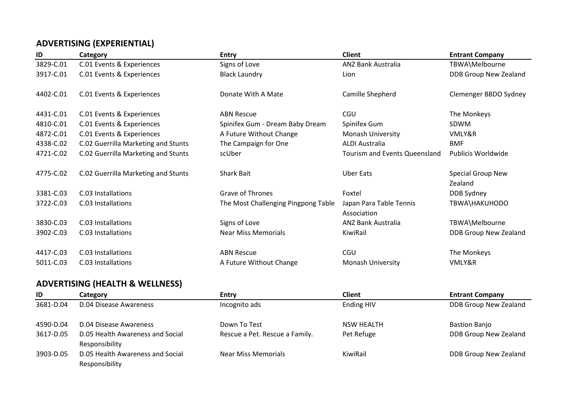# **ADVERTISING (EXPERIENTIAL)**

| ID        | Category                            | <b>Entry</b>                        | <b>Client</b>                          | <b>Entrant Company</b>       |
|-----------|-------------------------------------|-------------------------------------|----------------------------------------|------------------------------|
| 3829-C.01 | C.01 Events & Experiences           | Signs of Love                       | <b>ANZ Bank Australia</b>              | TBWA\Melbourne               |
| 3917-C.01 | C.01 Events & Experiences           | <b>Black Laundry</b>                | Lion                                   | DDB Group New Zealand        |
| 4402-C.01 | C.01 Events & Experiences           | Donate With A Mate                  | Camille Shepherd                       | Clemenger BBDO Sydney        |
| 4431-C.01 | C.01 Events & Experiences           | <b>ABN Rescue</b>                   | CGU                                    | The Monkeys                  |
| 4810-C.01 | C.01 Events & Experiences           | Spinifex Gum - Dream Baby Dream     | Spinifex Gum                           | SDWM                         |
| 4872-C.01 | C.01 Events & Experiences           | A Future Without Change             | <b>Monash University</b>               | VMLY&R                       |
| 4338-C.02 | C.02 Guerrilla Marketing and Stunts | The Campaign for One                | <b>ALDI Australia</b>                  | <b>BMF</b>                   |
| 4721-C.02 | C.02 Guerrilla Marketing and Stunts | scUber                              | <b>Tourism and Events Queensland</b>   | Publicis Worldwide           |
| 4775-C.02 | C.02 Guerrilla Marketing and Stunts | <b>Shark Bait</b>                   | <b>Uber Eats</b>                       | Special Group New<br>Zealand |
| 3381-C.03 | C.03 Installations                  | <b>Grave of Thrones</b>             | Foxtel                                 | DDB Sydney                   |
| 3722-C.03 | C.03 Installations                  | The Most Challenging Pingpong Table | Japan Para Table Tennis<br>Association | TBWA\HAKUHODO                |
| 3830-C.03 | C.03 Installations                  | Signs of Love                       | ANZ Bank Australia                     | TBWA\Melbourne               |
| 3902-C.03 | C.03 Installations                  | <b>Near Miss Memorials</b>          | KiwiRail                               | <b>DDB Group New Zealand</b> |
| 4417-C.03 | C.03 Installations                  | <b>ABN Rescue</b>                   | <b>CGU</b>                             | The Monkeys                  |
| 5011-C.03 | C.03 Installations                  | A Future Without Change             | <b>Monash University</b>               | VMLY&R                       |

#### **ADVERTISING (HEALTH & WELLNESS)**

| ID        | Category                         | <b>Entry</b>                   | Client            | <b>Entrant Company</b> |
|-----------|----------------------------------|--------------------------------|-------------------|------------------------|
| 3681-D.04 | D.04 Disease Awareness           | Incognito ads                  | Ending HIV        | DDB Group New Zealand  |
|           |                                  |                                |                   |                        |
| 4590-D.04 | D.04 Disease Awareness           | Down To Test                   | <b>NSW HEALTH</b> | <b>Bastion Banjo</b>   |
| 3617-D.05 | D.05 Health Awareness and Social | Rescue a Pet. Rescue a Family. | Pet Refuge        | DDB Group New Zealand  |
|           | Responsibility                   |                                |                   |                        |
| 3903-D.05 | D.05 Health Awareness and Social | <b>Near Miss Memorials</b>     | KiwiRail          | DDB Group New Zealand  |
|           | Responsibility                   |                                |                   |                        |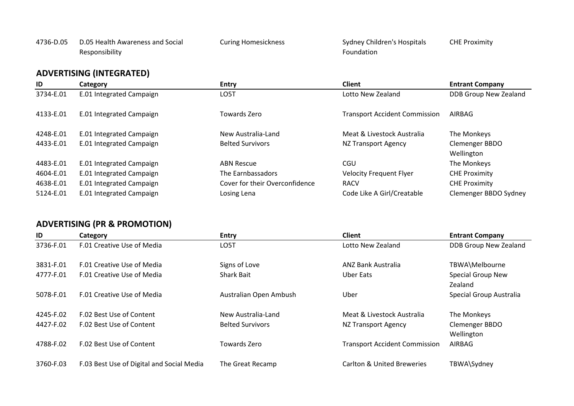#### 4736-D.05 D.05 Health Awareness and Social Responsibility

Curing Homesickness Sydney Children's Hospitals Foundation CHE Proximity

## **ADVERTISING (INTEGRATED)**

| ID        | Category                 | <b>Entry</b>                   | <b>Client</b>                        | <b>Entrant Company</b>       |
|-----------|--------------------------|--------------------------------|--------------------------------------|------------------------------|
| 3734-E.01 | E.01 Integrated Campaign | LO5T                           | Lotto New Zealand                    | <b>DDB Group New Zealand</b> |
| 4133-E.01 | E.01 Integrated Campaign | Towards Zero                   | <b>Transport Accident Commission</b> | AIRBAG                       |
| 4248-E.01 | E.01 Integrated Campaign | New Australia-Land             | Meat & Livestock Australia           | The Monkeys                  |
| 4433-E.01 | E.01 Integrated Campaign | <b>Belted Survivors</b>        | NZ Transport Agency                  | Clemenger BBDO               |
|           |                          |                                |                                      | Wellington                   |
| 4483-E.01 | E.01 Integrated Campaign | <b>ABN Rescue</b>              | CGU                                  | The Monkeys                  |
| 4604-E.01 | E.01 Integrated Campaign | The Earnbassadors              | <b>Velocity Frequent Flyer</b>       | <b>CHE Proximity</b>         |
| 4638-E.01 | E.01 Integrated Campaign | Cover for their Overconfidence | <b>RACV</b>                          | <b>CHE Proximity</b>         |
| 5124-E.01 | E.01 Integrated Campaign | Losing Lena                    | Code Like A Girl/Creatable           | Clemenger BBDO Sydney        |

#### **ADVERTISING (PR & PROMOTION)**

| ID        | Category                                  | <b>Entry</b>            | <b>Client</b>                         | <b>Entrant Company</b>       |
|-----------|-------------------------------------------|-------------------------|---------------------------------------|------------------------------|
| 3736-F.01 | F.01 Creative Use of Media                | LO5T                    | Lotto New Zealand                     | DDB Group New Zealand        |
| 3831-F.01 | F.01 Creative Use of Media                | Signs of Love           | ANZ Bank Australia                    | TBWA\Melbourne               |
| 4777-F.01 | F.01 Creative Use of Media                | <b>Shark Bait</b>       | Uber Eats                             | Special Group New<br>Zealand |
| 5078-F.01 | F.01 Creative Use of Media                | Australian Open Ambush  | Uber                                  | Special Group Australia      |
| 4245-F.02 | F.02 Best Use of Content                  | New Australia-Land      | Meat & Livestock Australia            | The Monkeys                  |
| 4427-F.02 | F.02 Best Use of Content                  | <b>Belted Survivors</b> | NZ Transport Agency                   | Clemenger BBDO<br>Wellington |
| 4788-F.02 | F.02 Best Use of Content                  | Towards Zero            | <b>Transport Accident Commission</b>  | AIRBAG                       |
| 3760-F.03 | F.03 Best Use of Digital and Social Media | The Great Recamp        | <b>Carlton &amp; United Breweries</b> | TBWA\Sydney                  |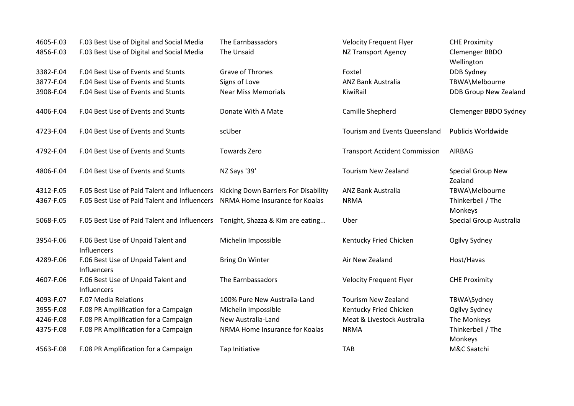| 4605-F.03 | F.03 Best Use of Digital and Social Media         | The Earnbassadors                    | <b>Velocity Frequent Flyer</b>       | <b>CHE Proximity</b>                |
|-----------|---------------------------------------------------|--------------------------------------|--------------------------------------|-------------------------------------|
| 4856-F.03 | F.03 Best Use of Digital and Social Media         | The Unsaid                           | <b>NZ Transport Agency</b>           | Clemenger BBDO<br>Wellington        |
| 3382-F.04 | F.04 Best Use of Events and Stunts                | <b>Grave of Thrones</b>              | Foxtel                               | DDB Sydney                          |
| 3877-F.04 | F.04 Best Use of Events and Stunts                | Signs of Love                        | <b>ANZ Bank Australia</b>            | TBWA\Melbourne                      |
| 3908-F.04 | F.04 Best Use of Events and Stunts                | <b>Near Miss Memorials</b>           | KiwiRail                             | <b>DDB Group New Zealand</b>        |
| 4406-F.04 | F.04 Best Use of Events and Stunts                | Donate With A Mate                   | Camille Shepherd                     | Clemenger BBDO Sydney               |
| 4723-F.04 | F.04 Best Use of Events and Stunts                | scUber                               | Tourism and Events Queensland        | Publicis Worldwide                  |
| 4792-F.04 | F.04 Best Use of Events and Stunts                | <b>Towards Zero</b>                  | <b>Transport Accident Commission</b> | <b>AIRBAG</b>                       |
| 4806-F.04 | F.04 Best Use of Events and Stunts                | NZ Says '39'                         | <b>Tourism New Zealand</b>           | <b>Special Group New</b><br>Zealand |
| 4312-F.05 | F.05 Best Use of Paid Talent and Influencers      | Kicking Down Barriers For Disability | <b>ANZ Bank Australia</b>            | TBWA\Melbourne                      |
| 4367-F.05 | F.05 Best Use of Paid Talent and Influencers      | NRMA Home Insurance for Koalas       | <b>NRMA</b>                          | Thinkerbell / The<br>Monkeys        |
| 5068-F.05 | F.05 Best Use of Paid Talent and Influencers      | Tonight, Shazza & Kim are eating     | Uber                                 | Special Group Australia             |
| 3954-F.06 | F.06 Best Use of Unpaid Talent and<br>Influencers | Michelin Impossible                  | Kentucky Fried Chicken               | Ogilvy Sydney                       |
| 4289-F.06 | F.06 Best Use of Unpaid Talent and<br>Influencers | <b>Bring On Winter</b>               | Air New Zealand                      | Host/Havas                          |
| 4607-F.06 | F.06 Best Use of Unpaid Talent and<br>Influencers | The Earnbassadors                    | <b>Velocity Frequent Flyer</b>       | <b>CHE Proximity</b>                |
| 4093-F.07 | F.07 Media Relations                              | 100% Pure New Australia-Land         | <b>Tourism New Zealand</b>           | TBWA\Sydney                         |
| 3955-F.08 | F.08 PR Amplification for a Campaign              | Michelin Impossible                  | Kentucky Fried Chicken               | Ogilvy Sydney                       |
| 4246-F.08 | F.08 PR Amplification for a Campaign              | New Australia-Land                   | Meat & Livestock Australia           | The Monkeys                         |
| 4375-F.08 | F.08 PR Amplification for a Campaign              | NRMA Home Insurance for Koalas       | <b>NRMA</b>                          | Thinkerbell / The<br>Monkeys        |
| 4563-F.08 | F.08 PR Amplification for a Campaign              | Tap Initiative                       | <b>TAB</b>                           | M&C Saatchi                         |
|           |                                                   |                                      |                                      |                                     |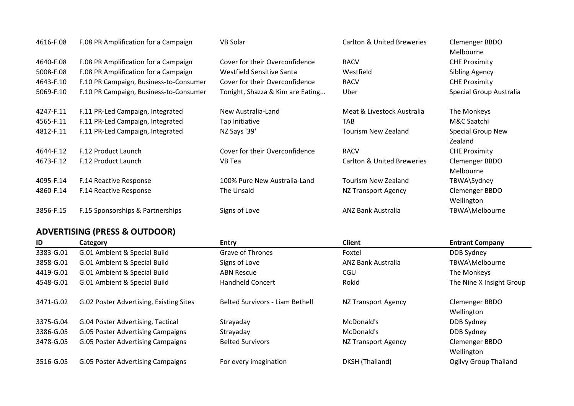| 4616-F.08 | F.08 PR Amplification for a Campaign   | <b>VB Solar</b>                  | <b>Carlton &amp; United Breweries</b> | Clemenger BBDO<br>Melbourne |
|-----------|----------------------------------------|----------------------------------|---------------------------------------|-----------------------------|
| 4640-F.08 | F.08 PR Amplification for a Campaign   | Cover for their Overconfidence   | <b>RACV</b>                           | <b>CHE Proximity</b>        |
| 5008-F.08 | F.08 PR Amplification for a Campaign   | Westfield Sensitive Santa        | Westfield                             | <b>Sibling Agency</b>       |
| 4643-F.10 | F.10 PR Campaign, Business-to-Consumer | Cover for their Overconfidence   | <b>RACV</b>                           | <b>CHE Proximity</b>        |
| 5069-F.10 | F.10 PR Campaign, Business-to-Consumer | Tonight, Shazza & Kim are Eating | Uber                                  | Special Group Australia     |
| 4247-F.11 | F.11 PR-Led Campaign, Integrated       | New Australia-Land               | Meat & Livestock Australia            | The Monkeys                 |
| 4565-F.11 | F.11 PR-Led Campaign, Integrated       | Tap Initiative                   | <b>TAB</b>                            | M&C Saatchi                 |
| 4812-F.11 | F.11 PR-Led Campaign, Integrated       | NZ Says '39'                     | Tourism New Zealand                   | Special Group New           |
|           |                                        |                                  |                                       | Zealand                     |
| 4644-F.12 | F.12 Product Launch                    | Cover for their Overconfidence   | <b>RACV</b>                           | <b>CHE Proximity</b>        |
| 4673-F.12 | F.12 Product Launch                    | VB Tea                           | <b>Carlton &amp; United Breweries</b> | Clemenger BBDO              |
|           |                                        |                                  |                                       | Melbourne                   |
| 4095-F.14 | F.14 Reactive Response                 | 100% Pure New Australia-Land     | Tourism New Zealand                   | TBWA\Sydney                 |
| 4860-F.14 | F.14 Reactive Response                 | The Unsaid                       | NZ Transport Agency                   | Clemenger BBDO              |
|           |                                        |                                  |                                       | Wellington                  |
| 3856-F.15 | F.15 Sponsorships & Partnerships       | Signs of Love                    | <b>ANZ Bank Australia</b>             | TBWA\Melbourne              |

# **ADVERTISING (PRESS & OUTDOOR)**

| ID        | Category                                | <b>Entry</b>                           | <b>Client</b>       | <b>Entrant Company</b>       |
|-----------|-----------------------------------------|----------------------------------------|---------------------|------------------------------|
| 3383-G.01 | G.01 Ambient & Special Build            | <b>Grave of Thrones</b>                | Foxtel              | DDB Sydney                   |
| 3858-G.01 | G.01 Ambient & Special Build            | Signs of Love                          | ANZ Bank Australia  | TBWA\Melbourne               |
| 4419-G.01 | G.01 Ambient & Special Build            | <b>ABN Rescue</b>                      | CGU                 | The Monkeys                  |
| 4548-G.01 | G.01 Ambient & Special Build            | <b>Handheld Concert</b>                | Rokid               | The Nine X Insight Group     |
| 3471-G.02 | G.02 Poster Advertising, Existing Sites | <b>Belted Survivors - Liam Bethell</b> | NZ Transport Agency | Clemenger BBDO<br>Wellington |
| 3375-G.04 | G.04 Poster Advertising, Tactical       | Strayaday                              | McDonald's          | DDB Sydney                   |
| 3386-G.05 | G.05 Poster Advertising Campaigns       | Strayaday                              | McDonald's          | DDB Sydney                   |
| 3478-G.05 | G.05 Poster Advertising Campaigns       | <b>Belted Survivors</b>                | NZ Transport Agency | Clemenger BBDO<br>Wellington |
| 3516-G.05 | G.05 Poster Advertising Campaigns       | For every imagination                  | DKSH (Thailand)     | <b>Ogilvy Group Thailand</b> |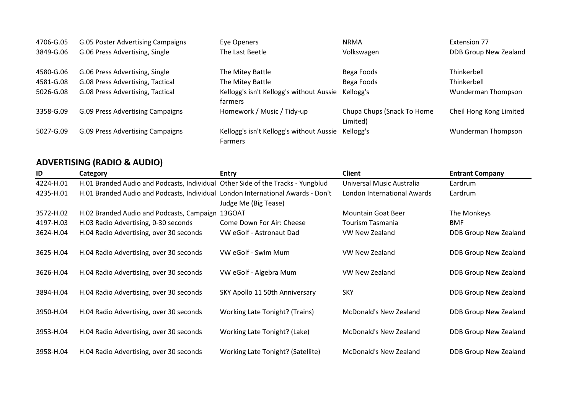| 4706-G.05 | G.05 Poster Advertising Campaigns | Eye Openers                                                | <b>NRMA</b>                            | Extension 77            |
|-----------|-----------------------------------|------------------------------------------------------------|----------------------------------------|-------------------------|
| 3849-G.06 | G.06 Press Advertising, Single    | The Last Beetle                                            | Volkswagen                             | DDB Group New Zealand   |
| 4580-G.06 | G.06 Press Advertising, Single    | The Mitey Battle                                           | Bega Foods                             | Thinkerbell             |
| 4581-G.08 | G.08 Press Advertising, Tactical  | The Mitey Battle                                           | Bega Foods                             | Thinkerbell             |
| 5026-G.08 | G.08 Press Advertising, Tactical  | Kellogg's isn't Kellogg's without Aussie<br>farmers        | Kellogg's                              | Wunderman Thompson      |
| 3358-G.09 | G.09 Press Advertising Campaigns  | Homework / Music / Tidy-up                                 | Chupa Chups (Snack To Home<br>Limited) | Cheil Hong Kong Limited |
| 5027-G.09 | G.09 Press Advertising Campaigns  | Kellogg's isn't Kellogg's without Aussie<br><b>Farmers</b> | Kellogg's                              | Wunderman Thompson      |

# **ADVERTISING (RADIO & AUDIO)**

| ID        | Category                                                                        | <b>Entry</b>                      | <b>Client</b>                 | <b>Entrant Company</b>       |
|-----------|---------------------------------------------------------------------------------|-----------------------------------|-------------------------------|------------------------------|
| 4224-H.01 | H.01 Branded Audio and Podcasts, Individual Other Side of the Tracks - Yungblud |                                   | Universal Music Australia     | Eardrum                      |
| 4235-H.01 | H.01 Branded Audio and Podcasts, Individual London International Awards - Don't |                                   | London International Awards   | Eardrum                      |
|           |                                                                                 | Judge Me (Big Tease)              |                               |                              |
| 3572-H.02 | H.02 Branded Audio and Podcasts, Campaign 13GOAT                                |                                   | <b>Mountain Goat Beer</b>     | The Monkeys                  |
| 4197-H.03 | H.03 Radio Advertising, 0-30 seconds                                            | Come Down For Air: Cheese         | <b>Tourism Tasmania</b>       | <b>BMF</b>                   |
| 3624-H.04 | H.04 Radio Advertising, over 30 seconds                                         | VW eGolf - Astronaut Dad          | VW New Zealand                | DDB Group New Zealand        |
|           |                                                                                 |                                   |                               |                              |
| 3625-H.04 | H.04 Radio Advertising, over 30 seconds                                         | VW eGolf - Swim Mum               | VW New Zealand                | <b>DDB Group New Zealand</b> |
|           |                                                                                 |                                   |                               |                              |
| 3626-H.04 | H.04 Radio Advertising, over 30 seconds                                         | VW eGolf - Algebra Mum            | VW New Zealand                | <b>DDB Group New Zealand</b> |
|           |                                                                                 |                                   |                               |                              |
| 3894-H.04 | H.04 Radio Advertising, over 30 seconds                                         | SKY Apollo 11 50th Anniversary    | <b>SKY</b>                    | <b>DDB Group New Zealand</b> |
|           |                                                                                 |                                   |                               |                              |
| 3950-H.04 | H.04 Radio Advertising, over 30 seconds                                         | Working Late Tonight? (Trains)    | <b>McDonald's New Zealand</b> | <b>DDB Group New Zealand</b> |
|           |                                                                                 |                                   |                               |                              |
| 3953-H.04 | H.04 Radio Advertising, over 30 seconds                                         | Working Late Tonight? (Lake)      | McDonald's New Zealand        | <b>DDB Group New Zealand</b> |
|           |                                                                                 |                                   |                               |                              |
| 3958-H.04 | H.04 Radio Advertising, over 30 seconds                                         | Working Late Tonight? (Satellite) | McDonald's New Zealand        | <b>DDB Group New Zealand</b> |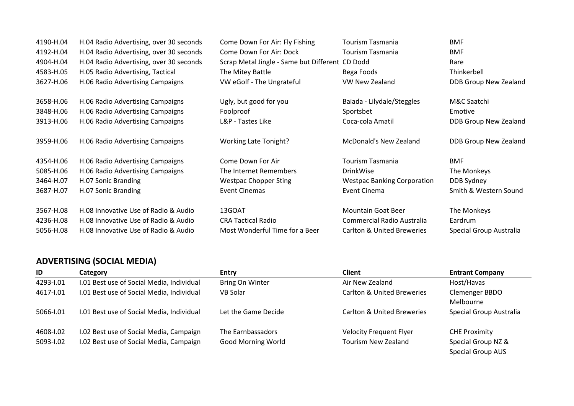| 4190-H.04<br>4192-H.04<br>4904-H.04<br>4583-H.05<br>3627-H.06 | H.04 Radio Advertising, over 30 seconds<br>H.04 Radio Advertising, over 30 seconds<br>H.04 Radio Advertising, over 30 seconds<br>H.05 Radio Advertising, Tactical<br>H.06 Radio Advertising Campaigns | Come Down For Air: Fly Fishing<br>Come Down For Air: Dock<br>Scrap Metal Jingle - Same but Different CD Dodd<br>The Mitey Battle<br>VW eGolf - The Ungrateful | <b>Tourism Tasmania</b><br>Tourism Tasmania<br>Bega Foods<br>VW New Zealand | <b>BMF</b><br><b>BMF</b><br>Rare<br>Thinkerbell<br>DDB Group New Zealand |
|---------------------------------------------------------------|-------------------------------------------------------------------------------------------------------------------------------------------------------------------------------------------------------|---------------------------------------------------------------------------------------------------------------------------------------------------------------|-----------------------------------------------------------------------------|--------------------------------------------------------------------------|
| 3658-H.06                                                     | H.06 Radio Advertising Campaigns                                                                                                                                                                      | Ugly, but good for you                                                                                                                                        | Baiada - Lilydale/Steggles                                                  | M&C Saatchi                                                              |
| 3848-H.06                                                     | H.06 Radio Advertising Campaigns                                                                                                                                                                      | Foolproof                                                                                                                                                     | Sportsbet                                                                   | Emotive                                                                  |
| 3913-H.06                                                     | H.06 Radio Advertising Campaigns                                                                                                                                                                      | L&P - Tastes Like                                                                                                                                             | Coca-cola Amatil                                                            | DDB Group New Zealand                                                    |
| 3959-H.06                                                     | H.06 Radio Advertising Campaigns                                                                                                                                                                      | <b>Working Late Tonight?</b>                                                                                                                                  | <b>McDonald's New Zealand</b>                                               | DDB Group New Zealand                                                    |
| 4354-H.06                                                     | H.06 Radio Advertising Campaigns                                                                                                                                                                      | Come Down For Air                                                                                                                                             | <b>Tourism Tasmania</b>                                                     | <b>BMF</b>                                                               |
| 5085-H.06                                                     | H.06 Radio Advertising Campaigns                                                                                                                                                                      | The Internet Remembers                                                                                                                                        | DrinkWise                                                                   | The Monkeys                                                              |
| 3464-H.07                                                     | H.07 Sonic Branding                                                                                                                                                                                   | <b>Westpac Chopper Sting</b>                                                                                                                                  | <b>Westpac Banking Corporation</b>                                          | DDB Sydney                                                               |
| 3687-H.07                                                     | H.07 Sonic Branding                                                                                                                                                                                   | Event Cinemas                                                                                                                                                 | Event Cinema                                                                | Smith & Western Sound                                                    |
| 3567-H.08                                                     | H.08 Innovative Use of Radio & Audio                                                                                                                                                                  | 13GOAT                                                                                                                                                        | <b>Mountain Goat Beer</b>                                                   | The Monkeys                                                              |
| 4236-H.08                                                     | H.08 Innovative Use of Radio & Audio                                                                                                                                                                  | <b>CRA Tactical Radio</b>                                                                                                                                     | Commercial Radio Australia                                                  | Eardrum                                                                  |
| 5056-H.08                                                     | H.08 Innovative Use of Radio & Audio                                                                                                                                                                  | Most Wonderful Time for a Beer                                                                                                                                | <b>Carlton &amp; United Breweries</b>                                       | Special Group Australia                                                  |

## **ADVERTISING (SOCIAL MEDIA)**

| ID        | Category                                  | <b>Entry</b>              | <b>Client</b>                         | <b>Entrant Company</b>   |
|-----------|-------------------------------------------|---------------------------|---------------------------------------|--------------------------|
| 4293-1.01 | I.01 Best use of Social Media, Individual | <b>Bring On Winter</b>    | Air New Zealand                       | Host/Havas               |
| 4617-1.01 | I.01 Best use of Social Media, Individual | VB Solar                  | <b>Carlton &amp; United Breweries</b> | Clemenger BBDO           |
|           |                                           |                           |                                       | Melbourne                |
| 5066-1.01 | I.01 Best use of Social Media, Individual | Let the Game Decide       | Carlton & United Breweries            | Special Group Australia  |
| 4608-1.02 | I.02 Best use of Social Media, Campaign   | The Earnbassadors         | <b>Velocity Frequent Flyer</b>        | <b>CHE Proximity</b>     |
| 5093-1.02 | I.02 Best use of Social Media, Campaign   | <b>Good Morning World</b> | <b>Tourism New Zealand</b>            | Special Group NZ &       |
|           |                                           |                           |                                       | <b>Special Group AUS</b> |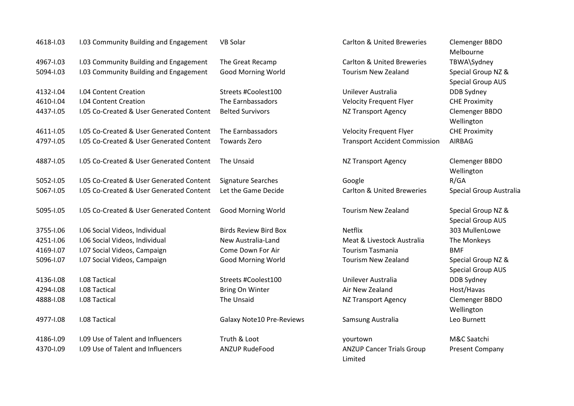| 4618-1.03 | I.03 Community Building and Engagement   | <b>VB Solar</b>              | <b>Carlton &amp; United Breweries</b>       | Clemenger BBDO<br>Melbourne                    |
|-----------|------------------------------------------|------------------------------|---------------------------------------------|------------------------------------------------|
| 4967-1.03 | I.03 Community Building and Engagement   | The Great Recamp             | <b>Carlton &amp; United Breweries</b>       | TBWA\Sydney                                    |
| 5094-1.03 | I.03 Community Building and Engagement   | <b>Good Morning World</b>    | <b>Tourism New Zealand</b>                  | Special Group NZ &<br><b>Special Group AUS</b> |
| 4132-1.04 | <b>I.04 Content Creation</b>             | Streets #Coolest100          | Unilever Australia                          | <b>DDB Sydney</b>                              |
| 4610-1.04 | <b>I.04 Content Creation</b>             | The Earnbassadors            | <b>Velocity Frequent Flyer</b>              | <b>CHE Proximity</b>                           |
| 4437-1.05 | I.05 Co-Created & User Generated Content | <b>Belted Survivors</b>      | <b>NZ Transport Agency</b>                  | Clemenger BBDO<br>Wellington                   |
| 4611-1.05 | I.05 Co-Created & User Generated Content | The Earnbassadors            | <b>Velocity Frequent Flyer</b>              | <b>CHE Proximity</b>                           |
| 4797-1.05 | I.05 Co-Created & User Generated Content | <b>Towards Zero</b>          | <b>Transport Accident Commission</b>        | AIRBAG                                         |
| 4887-1.05 | 1.05 Co-Created & User Generated Content | The Unsaid                   | <b>NZ Transport Agency</b>                  | Clemenger BBDO<br>Wellington                   |
| 5052-1.05 | I.05 Co-Created & User Generated Content | <b>Signature Searches</b>    | Google                                      | R/GA                                           |
| 5067-1.05 | I.05 Co-Created & User Generated Content | Let the Game Decide          | <b>Carlton &amp; United Breweries</b>       | <b>Special Group Austr</b>                     |
| 5095-1.05 | I.05 Co-Created & User Generated Content | <b>Good Morning World</b>    | <b>Tourism New Zealand</b>                  | Special Group NZ &<br><b>Special Group AUS</b> |
| 3755-1.06 | I.06 Social Videos, Individual           | <b>Birds Review Bird Box</b> | Netflix                                     | 303 MullenLowe                                 |
| 4251-1.06 | I.06 Social Videos, Individual           | New Australia-Land           | Meat & Livestock Australia                  | The Monkeys                                    |
| 4169-1.07 | I.07 Social Videos, Campaign             | Come Down For Air            | <b>Tourism Tasmania</b>                     | <b>BMF</b>                                     |
| 5096-1.07 | I.07 Social Videos, Campaign             | <b>Good Morning World</b>    | <b>Tourism New Zealand</b>                  | Special Group NZ &<br><b>Special Group AUS</b> |
| 4136-1.08 | I.08 Tactical                            | Streets #Coolest100          | Unilever Australia                          | DDB Sydney                                     |
| 4294-1.08 | I.08 Tactical                            | Bring On Winter              | Air New Zealand                             | Host/Havas                                     |
| 4888-1.08 | I.08 Tactical                            | The Unsaid                   | <b>NZ Transport Agency</b>                  | Clemenger BBDO<br>Wellington                   |
| 4977-1.08 | I.08 Tactical                            | Galaxy Note10 Pre-Reviews    | Samsung Australia                           | Leo Burnett                                    |
| 4186-1.09 | I.09 Use of Talent and Influencers       | Truth & Loot                 | yourtown                                    | M&C Saatchi                                    |
| 4370-1.09 | I.09 Use of Talent and Influencers       | <b>ANZUP RudeFood</b>        | <b>ANZUP Cancer Trials Group</b><br>Limited | Present Company                                |

ington enger BBDO ington

ial Group Australia ial Group NZ & ial Group AUS MullenLowe Monkeys ial Group NZ & ial Group AUS Sydney /Havas enger BBDO ington Burnett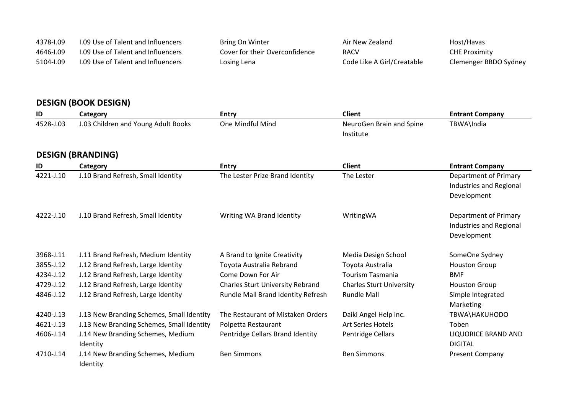| 4378-1.09 | 1.09 Use of Talent and Influencers | Bring On Winter                | Air New Zealand            | Host/Havas            |
|-----------|------------------------------------|--------------------------------|----------------------------|-----------------------|
| 4646-1.09 | 1.09 Use of Talent and Influencers | Cover for their Overconfidence | <b>RACV</b>                | <b>CHE Proximity</b>  |
| 5104-1.09 | 1.09 Use of Talent and Influencers | Losing Lena                    | Code Like A Girl/Creatable | Clemenger BBDO Sydney |

# **DESIGN (BOOK DESIGN)**

| ID        | Category                                  | <b>Entry</b>                            | <b>Client</b>                   | <b>Entrant Company</b>       |
|-----------|-------------------------------------------|-----------------------------------------|---------------------------------|------------------------------|
| 4528-J.03 | J.03 Children and Young Adult Books       | One Mindful Mind                        | NeuroGen Brain and Spine        | TBWA\India                   |
|           |                                           |                                         | Institute                       |                              |
|           |                                           |                                         |                                 |                              |
|           | <b>DESIGN (BRANDING)</b>                  |                                         |                                 |                              |
| ID        | Category                                  | <b>Entry</b>                            | <b>Client</b>                   | <b>Entrant Company</b>       |
| 4221-J.10 | J.10 Brand Refresh, Small Identity        | The Lester Prize Brand Identity         | The Lester                      | Department of Primary        |
|           |                                           |                                         |                                 | Industries and Regional      |
|           |                                           |                                         |                                 | Development                  |
| 4222-J.10 | J.10 Brand Refresh, Small Identity        | Writing WA Brand Identity               | WritingWA                       | <b>Department of Primary</b> |
|           |                                           |                                         |                                 | Industries and Regional      |
|           |                                           |                                         |                                 | Development                  |
|           |                                           |                                         |                                 |                              |
| 3968-J.11 | J.11 Brand Refresh, Medium Identity       | A Brand to Ignite Creativity            | Media Design School             | SomeOne Sydney               |
| 3855-J.12 | J.12 Brand Refresh, Large Identity        | Toyota Australia Rebrand                | Toyota Australia                | <b>Houston Group</b>         |
| 4234-J.12 | J.12 Brand Refresh, Large Identity        | Come Down For Air                       | <b>Tourism Tasmania</b>         | <b>BMF</b>                   |
| 4729-J.12 | J.12 Brand Refresh, Large Identity        | <b>Charles Sturt University Rebrand</b> | <b>Charles Sturt University</b> | <b>Houston Group</b>         |
| 4846-J.12 | J.12 Brand Refresh, Large Identity        | Rundle Mall Brand Identity Refresh      | <b>Rundle Mall</b>              | Simple Integrated            |
|           |                                           |                                         |                                 | Marketing                    |
| 4240-J.13 | J.13 New Branding Schemes, Small Identity | The Restaurant of Mistaken Orders       | Daiki Angel Help inc.           | TBWA\HAKUHODO                |
| 4621-J.13 | J.13 New Branding Schemes, Small Identity | Polpetta Restaurant                     | Art Series Hotels               | Toben                        |
| 4606-J.14 | J.14 New Branding Schemes, Medium         | Pentridge Cellars Brand Identity        | Pentridge Cellars               | <b>LIQUORICE BRAND AND</b>   |
|           | Identity                                  |                                         |                                 | <b>DIGITAL</b>               |
| 4710-J.14 | J.14 New Branding Schemes, Medium         | <b>Ben Simmons</b>                      | <b>Ben Simmons</b>              | <b>Present Company</b>       |
|           | Identity                                  |                                         |                                 |                              |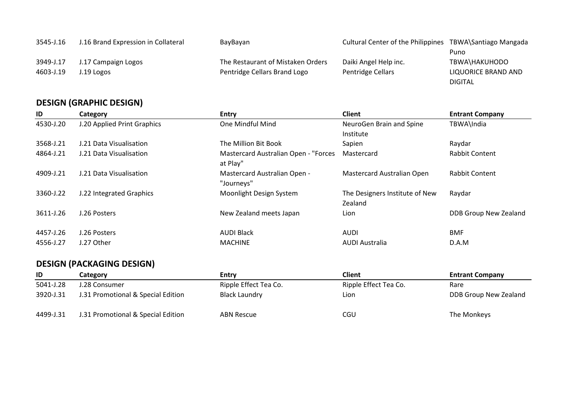| 3545-J.16 | J.16 Brand Expression in Collateral | BayBayan                          | <b>Cultural Center of the Philippines</b> | TBWA\Santiago Mangada |
|-----------|-------------------------------------|-----------------------------------|-------------------------------------------|-----------------------|
|           |                                     |                                   |                                           | Puno                  |
| 3949-J.17 | J.17 Campaign Logos                 | The Restaurant of Mistaken Orders | Daiki Angel Help inc.                     | TBWA\HAKUHODO         |
| 4603-J.19 | J.19 Logos                          | Pentridge Cellars Brand Logo      | Pentridge Cellars                         | LIQUORICE BRAND AND   |
|           |                                     |                                   |                                           | <b>DIGITAL</b>        |

# **DESIGN (GRAPHIC DESIGN)**

| ID        | Category                    | <b>Entry</b>                                     | <b>Client</b>                             | <b>Entrant Company</b>       |
|-----------|-----------------------------|--------------------------------------------------|-------------------------------------------|------------------------------|
| 4530-J.20 | J.20 Applied Print Graphics | One Mindful Mind                                 | NeuroGen Brain and Spine                  | TBWA\India                   |
|           |                             |                                                  | Institute                                 |                              |
| 3568-J.21 | J.21 Data Visualisation     | The Million Bit Book                             | Sapien                                    | Raydar                       |
| 4864-J.21 | J.21 Data Visualisation     | Mastercard Australian Open - "Forces<br>at Play" | Mastercard                                | Rabbit Content               |
| 4909-J.21 | J.21 Data Visualisation     | Mastercard Australian Open -<br>"Journeys"       | Mastercard Australian Open                | Rabbit Content               |
| 3360-J.22 | J.22 Integrated Graphics    | Moonlight Design System                          | The Designers Institute of New<br>Zealand | Raydar                       |
| 3611-J.26 | J.26 Posters                | New Zealand meets Japan                          | Lion                                      | <b>DDB Group New Zealand</b> |
| 4457-J.26 | J.26 Posters                | <b>AUDI Black</b>                                | <b>AUDI</b>                               | <b>BMF</b>                   |
| 4556-J.27 | J.27 Other                  | <b>MACHINE</b>                                   | <b>AUDI Australia</b>                     | D.A.M                        |

# **DESIGN (PACKAGING DESIGN)**

| ID        | Category                           | <b>Entry</b>          | Client                | <b>Entrant Company</b> |
|-----------|------------------------------------|-----------------------|-----------------------|------------------------|
| 5041-J.28 | J.28 Consumer                      | Ripple Effect Tea Co. | Ripple Effect Tea Co. | Rare                   |
| 3920-J.31 | J.31 Promotional & Special Edition | Black Laundry         | Lion                  | DDB Group New Zealand  |
|           |                                    |                       |                       |                        |
| 4499-J.31 | J.31 Promotional & Special Edition | <b>ABN Rescue</b>     | CGU                   | The Monkeys            |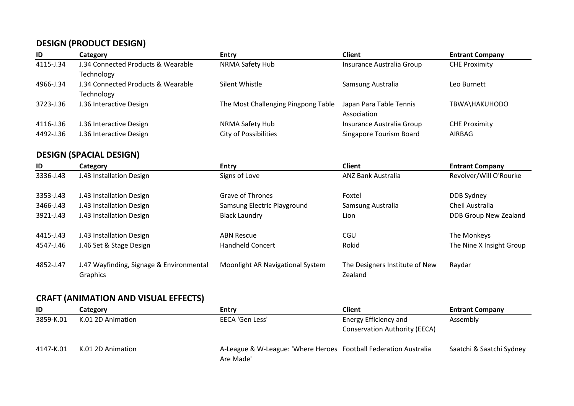## **DESIGN (PRODUCT DESIGN)**

| ID        | Category                           | <b>Entry</b>                        | Client                         | <b>Entrant Company</b> |
|-----------|------------------------------------|-------------------------------------|--------------------------------|------------------------|
| 4115-J.34 | J.34 Connected Products & Wearable | <b>NRMA Safety Hub</b>              | Insurance Australia Group      | <b>CHE Proximity</b>   |
|           | Technology                         |                                     |                                |                        |
| 4966-J.34 | J.34 Connected Products & Wearable | Silent Whistle                      | Samsung Australia              | Leo Burnett            |
|           | Technology                         |                                     |                                |                        |
| 3723-J.36 | J.36 Interactive Design            | The Most Challenging Pingpong Table | Japan Para Table Tennis        | TBWA\HAKUHODO          |
|           |                                    |                                     | Association                    |                        |
| 4116-J.36 | J.36 Interactive Design            | <b>NRMA Safety Hub</b>              | Insurance Australia Group      | <b>CHE Proximity</b>   |
| 4492-J.36 | J.36 Interactive Design            | <b>City of Possibilities</b>        | <b>Singapore Tourism Board</b> | AIRBAG                 |

# **DESIGN (SPACIAL DESIGN)**

| ID        | Category                                             | <b>Entry</b>                     | <b>Client</b>                             | <b>Entrant Company</b>   |
|-----------|------------------------------------------------------|----------------------------------|-------------------------------------------|--------------------------|
| 3336-J.43 | J.43 Installation Design                             | Signs of Love                    | <b>ANZ Bank Australia</b>                 | Revolver/Will O'Rourke   |
| 3353-J.43 | J.43 Installation Design                             | Grave of Thrones                 | Foxtel                                    | DDB Sydney               |
| 3466-J.43 | J.43 Installation Design                             | Samsung Electric Playground      | Samsung Australia                         | Cheil Australia          |
| 3921-J.43 | J.43 Installation Design                             | <b>Black Laundry</b>             | Lion                                      | DDB Group New Zealand    |
| 4415-J.43 | J.43 Installation Design                             | <b>ABN Rescue</b>                | CGU                                       | The Monkeys              |
| 4547-J.46 | J.46 Set & Stage Design                              | <b>Handheld Concert</b>          | Rokid                                     | The Nine X Insight Group |
| 4852-J.47 | J.47 Wayfinding, Signage & Environmental<br>Graphics | Moonlight AR Navigational System | The Designers Institute of New<br>Zealand | Raydar                   |

## **CRAFT (ANIMATION AND VISUAL EFFECTS)**

| ID        | Category          | Entry                                                                         | Client                               | <b>Entrant Company</b>   |
|-----------|-------------------|-------------------------------------------------------------------------------|--------------------------------------|--------------------------|
| 3859-K.01 | K.01 2D Animation | EECA 'Gen Less'                                                               | Energy Efficiency and                | Assembly                 |
|           |                   |                                                                               | <b>Conservation Authority (EECA)</b> |                          |
| 4147-K.01 | K.01 2D Animation | A-League & W-League: 'Where Heroes Football Federation Australia<br>Are Made' |                                      | Saatchi & Saatchi Sydney |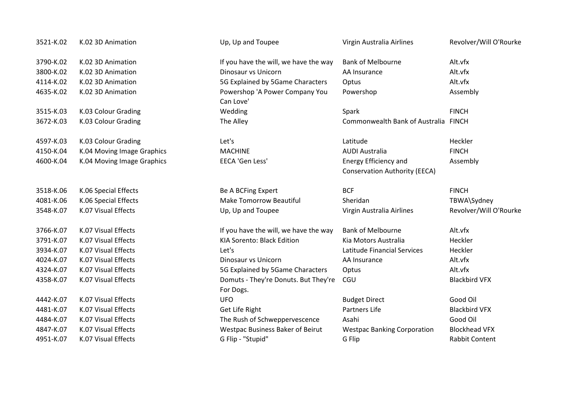| 3521-K.02 | K.02 3D Animation          | Up, Up and Toupee                       | Virgin Australia Airlines            | Revolver/Will O'Rourke |
|-----------|----------------------------|-----------------------------------------|--------------------------------------|------------------------|
| 3790-K.02 | K.02 3D Animation          | If you have the will, we have the way   | <b>Bank of Melbourne</b>             | Alt.vfx                |
| 3800-K.02 | K.02 3D Animation          | Dinosaur vs Unicorn                     | AA Insurance                         | Alt.vfx                |
| 4114-K.02 | K.02 3D Animation          | 5G Explained by 5Game Characters        | Optus                                | Alt.vfx                |
| 4635-K.02 | K.02 3D Animation          | Powershop 'A Power Company You          | Powershop                            | Assembly               |
|           |                            | Can Love'                               |                                      |                        |
| 3515-K.03 | K.03 Colour Grading        | Wedding                                 | Spark                                | <b>FINCH</b>           |
| 3672-K.03 | K.03 Colour Grading        | The Alley                               | Commonwealth Bank of Australia FINCH |                        |
| 4597-K.03 | K.03 Colour Grading        | Let's                                   | Latitude                             | Heckler                |
| 4150-K.04 | K.04 Moving Image Graphics | <b>MACHINE</b>                          | <b>AUDI Australia</b>                | <b>FINCH</b>           |
| 4600-K.04 | K.04 Moving Image Graphics | EECA 'Gen Less'                         | Energy Efficiency and                | Assembly               |
|           |                            |                                         | <b>Conservation Authority (EECA)</b> |                        |
| 3518-K.06 | K.06 Special Effects       | Be A BCFing Expert                      | <b>BCF</b>                           | <b>FINCH</b>           |
| 4081-K.06 | K.06 Special Effects       | <b>Make Tomorrow Beautiful</b>          | Sheridan                             | TBWA\Sydney            |
| 3548-K.07 | K.07 Visual Effects        | Up, Up and Toupee                       | Virgin Australia Airlines            | Revolver/Will O'Rourke |
| 3766-K.07 | K.07 Visual Effects        | If you have the will, we have the way   | <b>Bank of Melbourne</b>             | Alt.vfx                |
| 3791-K.07 | K.07 Visual Effects        | KIA Sorento: Black Edition              | Kia Motors Australia                 | Heckler                |
| 3934-K.07 | K.07 Visual Effects        | Let's                                   | Latitude Financial Services          | Heckler                |
| 4024-K.07 | K.07 Visual Effects        | Dinosaur vs Unicorn                     | AA Insurance                         | Alt.vfx                |
| 4324-K.07 | K.07 Visual Effects        | 5G Explained by 5Game Characters        | Optus                                | Alt.vfx                |
| 4358-K.07 | K.07 Visual Effects        | Domuts - They're Donuts. But They're    | CGU                                  | <b>Blackbird VFX</b>   |
|           |                            | For Dogs.                               |                                      |                        |
| 4442-K.07 | K.07 Visual Effects        | <b>UFO</b>                              | <b>Budget Direct</b>                 | Good Oil               |
| 4481-K.07 | K.07 Visual Effects        | Get Life Right                          | Partners Life                        | <b>Blackbird VFX</b>   |
| 4484-K.07 | K.07 Visual Effects        | The Rush of Schweppervescence           | Asahi                                | Good Oil               |
| 4847-K.07 | K.07 Visual Effects        | <b>Westpac Business Baker of Beirut</b> | <b>Westpac Banking Corporation</b>   | <b>Blockhead VFX</b>   |
| 4951-K.07 | K.07 Visual Effects        | G Flip - "Stupid"                       | G Flip                               | <b>Rabbit Content</b>  |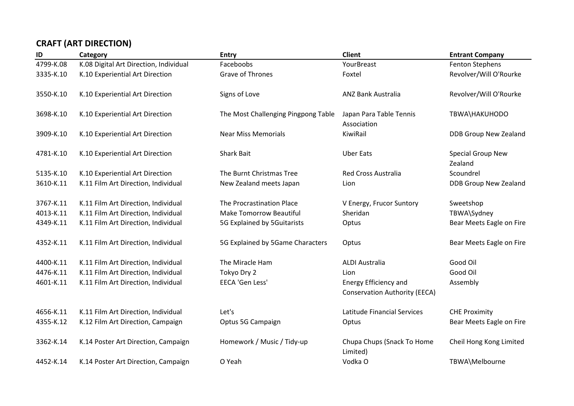# **CRAFT (ART DIRECTION)**

| ID        | Category                               | <b>Entry</b>                        | <b>Client</b>                                                 | <b>Entrant Company</b>              |
|-----------|----------------------------------------|-------------------------------------|---------------------------------------------------------------|-------------------------------------|
| 4799-K.08 | K.08 Digital Art Direction, Individual | Faceboobs                           | YourBreast                                                    | <b>Fenton Stephens</b>              |
| 3335-K.10 | K.10 Experiential Art Direction        | Grave of Thrones                    | Foxtel                                                        | Revolver/Will O'Rourke              |
| 3550-K.10 | K.10 Experiential Art Direction        | Signs of Love                       | <b>ANZ Bank Australia</b>                                     | Revolver/Will O'Rourke              |
| 3698-K.10 | K.10 Experiential Art Direction        | The Most Challenging Pingpong Table | Japan Para Table Tennis<br>Association                        | TBWA\HAKUHODO                       |
| 3909-K.10 | K.10 Experiential Art Direction        | <b>Near Miss Memorials</b>          | KiwiRail                                                      | DDB Group New Zealand               |
| 4781-K.10 | K.10 Experiential Art Direction        | <b>Shark Bait</b>                   | <b>Uber Eats</b>                                              | <b>Special Group New</b><br>Zealand |
| 5135-K.10 | K.10 Experiential Art Direction        | The Burnt Christmas Tree            | <b>Red Cross Australia</b>                                    | Scoundrel                           |
| 3610-K.11 | K.11 Film Art Direction, Individual    | New Zealand meets Japan             | Lion                                                          | DDB Group New Zealand               |
| 3767-K.11 | K.11 Film Art Direction, Individual    | The Procrastination Place           | V Energy, Frucor Suntory                                      | Sweetshop                           |
| 4013-K.11 | K.11 Film Art Direction, Individual    | <b>Make Tomorrow Beautiful</b>      | Sheridan                                                      | TBWA\Sydney                         |
| 4349-K.11 | K.11 Film Art Direction, Individual    | 5G Explained by 5Guitarists         | Optus                                                         | Bear Meets Eagle on Fire            |
| 4352-K.11 | K.11 Film Art Direction, Individual    | 5G Explained by 5Game Characters    | Optus                                                         | Bear Meets Eagle on Fire            |
| 4400-K.11 | K.11 Film Art Direction, Individual    | The Miracle Ham                     | <b>ALDI Australia</b>                                         | Good Oil                            |
| 4476-K.11 | K.11 Film Art Direction, Individual    | Tokyo Dry 2                         | Lion                                                          | Good Oil                            |
| 4601-K.11 | K.11 Film Art Direction, Individual    | EECA 'Gen Less'                     | Energy Efficiency and<br><b>Conservation Authority (EECA)</b> | Assembly                            |
| 4656-K.11 | K.11 Film Art Direction, Individual    | Let's                               | Latitude Financial Services                                   | <b>CHE Proximity</b>                |
| 4355-K.12 | K.12 Film Art Direction, Campaign      | Optus 5G Campaign                   | Optus                                                         | Bear Meets Eagle on Fire            |
| 3362-K.14 | K.14 Poster Art Direction, Campaign    | Homework / Music / Tidy-up          | Chupa Chups (Snack To Home<br>Limited)                        | Cheil Hong Kong Limited             |
| 4452-K.14 | K.14 Poster Art Direction, Campaign    | O Yeah                              | Vodka O                                                       | TBWA\Melbourne                      |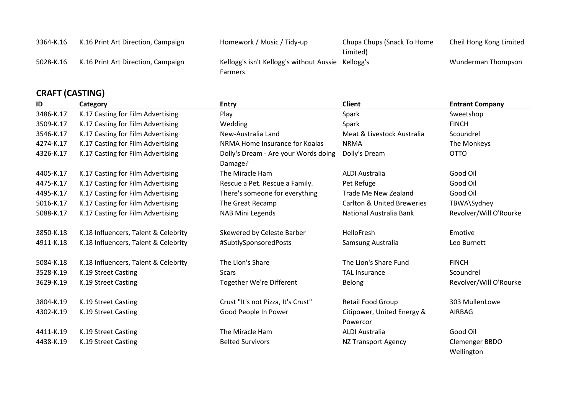| ADATEICACHIOL |                                    |                                                    |                            |                         |  |
|---------------|------------------------------------|----------------------------------------------------|----------------------------|-------------------------|--|
|               | K.16 Print Art Direction, Campaign | <b>Farmers</b>                                     |                            | Wunderman Thompson      |  |
| 5028-K.16     |                                    | Kellogg's isn't Kellogg's without Aussie Kellogg's | Limited)                   |                         |  |
| 3364-K.16     | K.16 Print Art Direction, Campaign | Homework / Music / Tidy-up                         | Chupa Chups (Snack To Home | Cheil Hong Kong Limited |  |

#### **CRAFT (CASTING)**

| ID        | Category                             | <b>Entry</b>                                    | <b>Client</b>                          | <b>Entrant Company</b>       |
|-----------|--------------------------------------|-------------------------------------------------|----------------------------------------|------------------------------|
| 3486-K.17 | K.17 Casting for Film Advertising    | Play                                            | Spark                                  | Sweetshop                    |
| 3509-K.17 | K.17 Casting for Film Advertising    | Wedding                                         | Spark                                  | <b>FINCH</b>                 |
| 3546-K.17 | K.17 Casting for Film Advertising    | New-Australia Land                              | Meat & Livestock Australia             | Scoundrel                    |
| 4274-K.17 | K.17 Casting for Film Advertising    | NRMA Home Insurance for Koalas                  | <b>NRMA</b>                            | The Monkeys                  |
| 4326-K.17 | K.17 Casting for Film Advertising    | Dolly's Dream - Are your Words doing<br>Damage? | Dolly's Dream                          | <b>OTTO</b>                  |
| 4405-K.17 | K.17 Casting for Film Advertising    | The Miracle Ham                                 | <b>ALDI Australia</b>                  | Good Oil                     |
| 4475-K.17 | K.17 Casting for Film Advertising    | Rescue a Pet. Rescue a Family.                  | Pet Refuge                             | Good Oil                     |
| 4495-K.17 | K.17 Casting for Film Advertising    | There's someone for everything                  | Trade Me New Zealand                   | Good Oil                     |
| 5016-K.17 | K.17 Casting for Film Advertising    | The Great Recamp                                | <b>Carlton &amp; United Breweries</b>  | TBWA\Sydney                  |
| 5088-K.17 | K.17 Casting for Film Advertising    | NAB Mini Legends                                | National Australia Bank                | Revolver/Will O'Rourke       |
| 3850-K.18 | K.18 Influencers, Talent & Celebrity | Skewered by Celeste Barber                      | <b>HelloFresh</b>                      | Emotive                      |
| 4911-K.18 | K.18 Influencers, Talent & Celebrity | #SubtlySponsoredPosts                           | Samsung Australia                      | Leo Burnett                  |
| 5084-K.18 | K.18 Influencers, Talent & Celebrity | The Lion's Share                                | The Lion's Share Fund                  | <b>FINCH</b>                 |
| 3528-K.19 | K.19 Street Casting                  | <b>Scars</b>                                    | <b>TAL Insurance</b>                   | Scoundrel                    |
| 3629-K.19 | K.19 Street Casting                  | Together We're Different                        | Belong                                 | Revolver/Will O'Rourke       |
| 3804-K.19 | K.19 Street Casting                  | Crust "It's not Pizza, It's Crust"              | Retail Food Group                      | 303 MullenLowe               |
| 4302-K.19 | K.19 Street Casting                  | Good People In Power                            | Citipower, United Energy &<br>Powercor | AIRBAG                       |
| 4411-K.19 | K.19 Street Casting                  | The Miracle Ham                                 | ALDI Australia                         | Good Oil                     |
| 4438-K.19 | K.19 Street Casting                  | <b>Belted Survivors</b>                         | <b>NZ Transport Agency</b>             | Clemenger BBDO<br>Wellington |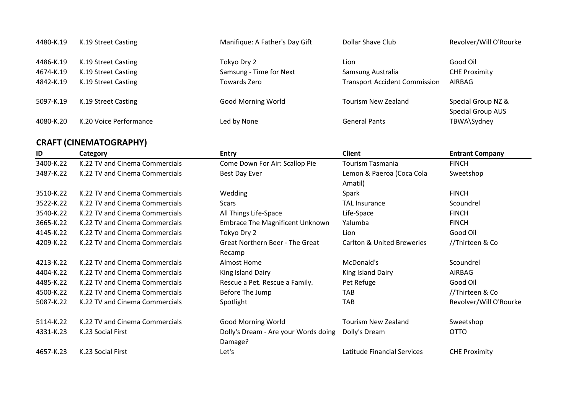| 4480-K.19 | K.19 Street Casting    | Manifique: A Father's Day Gift | Dollar Shave Club                    | Revolver/Will O'Rourke                         |
|-----------|------------------------|--------------------------------|--------------------------------------|------------------------------------------------|
| 4486-K.19 | K.19 Street Casting    | Tokyo Dry 2                    | Lion                                 | Good Oil                                       |
| 4674-K.19 | K.19 Street Casting    | Samsung - Time for Next        | Samsung Australia                    | <b>CHE Proximity</b>                           |
| 4842-K.19 | K.19 Street Casting    | Towards Zero                   | <b>Transport Accident Commission</b> | AIRBAG                                         |
| 5097-K.19 | K.19 Street Casting    | <b>Good Morning World</b>      | <b>Tourism New Zealand</b>           | Special Group NZ &<br><b>Special Group AUS</b> |
| 4080-K.20 | K.20 Voice Performance | Led by None                    | <b>General Pants</b>                 | TBWA\Sydney                                    |

# **CRAFT (CINEMATOGRAPHY)**

| ID        | Category                       | <b>Entry</b>                           | <b>Client</b>                         | <b>Entrant Company</b> |
|-----------|--------------------------------|----------------------------------------|---------------------------------------|------------------------|
| 3400-K.22 | K.22 TV and Cinema Commercials | Come Down For Air: Scallop Pie         | <b>Tourism Tasmania</b>               | <b>FINCH</b>           |
| 3487-K.22 | K.22 TV and Cinema Commercials | Best Day Ever                          | Lemon & Paeroa (Coca Cola             | Sweetshop              |
|           |                                |                                        | Amatil)                               |                        |
| 3510-K.22 | K.22 TV and Cinema Commercials | Wedding                                | Spark                                 | <b>FINCH</b>           |
| 3522-K.22 | K.22 TV and Cinema Commercials | Scars                                  | <b>TAL Insurance</b>                  | Scoundrel              |
| 3540-K.22 | K.22 TV and Cinema Commercials | All Things Life-Space                  | Life-Space                            | <b>FINCH</b>           |
| 3665-K.22 | K.22 TV and Cinema Commercials | <b>Embrace The Magnificent Unknown</b> | Yalumba                               | <b>FINCH</b>           |
| 4145-K.22 | K.22 TV and Cinema Commercials | Tokyo Dry 2                            | Lion                                  | Good Oil               |
| 4209-K.22 | K.22 TV and Cinema Commercials | <b>Great Northern Beer - The Great</b> | <b>Carlton &amp; United Breweries</b> | //Thirteen & Co        |
|           |                                | Recamp                                 |                                       |                        |
| 4213-K.22 | K.22 TV and Cinema Commercials | Almost Home                            | McDonald's                            | Scoundrel              |
| 4404-K.22 | K.22 TV and Cinema Commercials | King Island Dairy                      | King Island Dairy                     | AIRBAG                 |
| 4485-K.22 | K.22 TV and Cinema Commercials | Rescue a Pet. Rescue a Family.         | Pet Refuge                            | Good Oil               |
| 4500-K.22 | K.22 TV and Cinema Commercials | Before The Jump                        | <b>TAB</b>                            | //Thirteen & Co        |
| 5087-K.22 | K.22 TV and Cinema Commercials | Spotlight                              | TAB                                   | Revolver/Will O'Rourke |
| 5114-K.22 | K.22 TV and Cinema Commercials | <b>Good Morning World</b>              | <b>Tourism New Zealand</b>            | Sweetshop              |
| 4331-K.23 | K.23 Social First              | Dolly's Dream - Are your Words doing   | Dolly's Dream                         | <b>OTTO</b>            |
|           |                                | Damage?                                |                                       |                        |
| 4657-K.23 | K.23 Social First              | Let's                                  | Latitude Financial Services           | <b>CHE Proximity</b>   |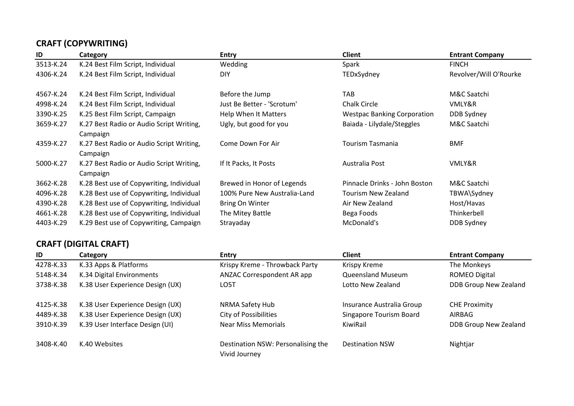# **CRAFT (COPYWRITING)**

| ID        | Category                                 | <b>Entry</b>                 | <b>Client</b>                      | <b>Entrant Company</b> |
|-----------|------------------------------------------|------------------------------|------------------------------------|------------------------|
| 3513-K.24 | K.24 Best Film Script, Individual        | Wedding                      | Spark                              | <b>FINCH</b>           |
| 4306-K.24 | K.24 Best Film Script, Individual        | <b>DIY</b>                   | TEDxSydney                         | Revolver/Will O'Rourke |
| 4567-K.24 | K.24 Best Film Script, Individual        | Before the Jump              | TAB                                | M&C Saatchi            |
| 4998-K.24 | K.24 Best Film Script, Individual        | Just Be Better - 'Scrotum'   | Chalk Circle                       | VMLY&R                 |
| 3390-K.25 | K.25 Best Film Script, Campaign          | <b>Help When It Matters</b>  | <b>Westpac Banking Corporation</b> | DDB Sydney             |
| 3659-K.27 | K.27 Best Radio or Audio Script Writing, | Ugly, but good for you       | Baiada - Lilydale/Steggles         | M&C Saatchi            |
|           | Campaign                                 |                              |                                    |                        |
| 4359-K.27 | K.27 Best Radio or Audio Script Writing, | Come Down For Air            | Tourism Tasmania                   | <b>BMF</b>             |
|           | Campaign                                 |                              |                                    |                        |
| 5000-K.27 | K.27 Best Radio or Audio Script Writing, | If It Packs, It Posts        | Australia Post                     | VMLY&R                 |
|           | Campaign                                 |                              |                                    |                        |
| 3662-K.28 | K.28 Best use of Copywriting, Individual | Brewed in Honor of Legends   | Pinnacle Drinks - John Boston      | M&C Saatchi            |
| 4096-K.28 | K.28 Best use of Copywriting, Individual | 100% Pure New Australia-Land | Tourism New Zealand                | TBWA\Sydney            |
| 4390-K.28 | K.28 Best use of Copywriting, Individual | Bring On Winter              | Air New Zealand                    | Host/Havas             |
| 4661-K.28 | K.28 Best use of Copywriting, Individual | The Mitey Battle             | Bega Foods                         | Thinkerbell            |
| 4403-K.29 | K.29 Best use of Copywriting, Campaign   | Strayaday                    | McDonald's                         | <b>DDB Sydney</b>      |

# **CRAFT (DIGITAL CRAFT)**

| ID        | Category                         | <b>Entry</b>                                        | <b>Client</b>                  | <b>Entrant Company</b> |
|-----------|----------------------------------|-----------------------------------------------------|--------------------------------|------------------------|
| 4278-K.33 | K.33 Apps & Platforms            | Krispy Kreme - Throwback Party                      | Krispy Kreme                   | The Monkeys            |
| 5148-K.34 | K.34 Digital Environments        | ANZAC Correspondent AR app                          | <b>Queensland Museum</b>       | <b>ROMEO Digital</b>   |
| 3738-K.38 | K.38 User Experience Design (UX) | LO5T                                                | Lotto New Zealand              | DDB Group New Zealand  |
| 4125-K.38 | K.38 User Experience Design (UX) | NRMA Safety Hub                                     | Insurance Australia Group      | <b>CHE Proximity</b>   |
| 4489-K.38 | K.38 User Experience Design (UX) | <b>City of Possibilities</b>                        | <b>Singapore Tourism Board</b> | AIRBAG                 |
| 3910-K.39 | K.39 User Interface Design (UI)  | <b>Near Miss Memorials</b>                          | KiwiRail                       | DDB Group New Zealand  |
| 3408-K.40 | K.40 Websites                    | Destination NSW: Personalising the<br>Vivid Journey | <b>Destination NSW</b>         | Nightjar               |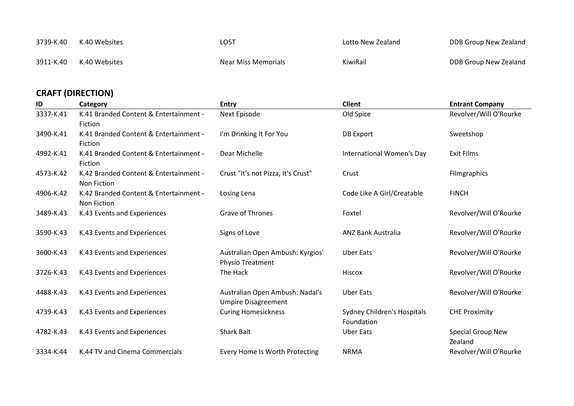| 3739-K.40 | K.40 Websites | ∟O5T                | Lotto New Zealand | DDB Group New Zealand |
|-----------|---------------|---------------------|-------------------|-----------------------|
| 3911-K.40 | K.40 Websites | Near Miss Memorials | KiwiRail          | DDB Group New Zealand |

# **CRAFT (DIRECTION)**

| ID        | Category                                                     | <b>Entry</b>                                                  | <b>Client</b>                             | <b>Entrant Company</b>              |
|-----------|--------------------------------------------------------------|---------------------------------------------------------------|-------------------------------------------|-------------------------------------|
| 3337-K.41 | K.41 Branded Content & Entertainment -<br>Fiction            | Next Episode                                                  | Old Spice                                 | Revolver/Will O'Rourke              |
| 3490-K.41 | K.41 Branded Content & Entertainment -<br>Fiction            | I'm Drinking It For You                                       | <b>DB Export</b>                          | Sweetshop                           |
| 4992-K.41 | K.41 Branded Content & Entertainment -<br>Fiction            | Dear Michelle                                                 | International Women's Day                 | <b>Exit Films</b>                   |
| 4573-K.42 | K.42 Branded Content & Entertainment -<br><b>Non Fiction</b> | Crust "It's not Pizza, It's Crust"                            | Crust                                     | <b>Filmgraphics</b>                 |
| 4906-K.42 | K.42 Branded Content & Entertainment -<br>Non Fiction        | Losing Lena                                                   | Code Like A Girl/Creatable                | <b>FINCH</b>                        |
| 3489-K.43 | K.43 Events and Experiences                                  | <b>Grave of Thrones</b>                                       | Foxtel                                    | Revolver/Will O'Rourke              |
| 3590-K.43 | K.43 Events and Experiences                                  | Signs of Love                                                 | <b>ANZ Bank Australia</b>                 | Revolver/Will O'Rourke              |
| 3600-K.43 | K.43 Events and Experiences                                  | Australian Open Ambush: Kyrgios'<br><b>Physio Treatment</b>   | <b>Uber Eats</b>                          | Revolver/Will O'Rourke              |
| 3726-K.43 | K.43 Events and Experiences                                  | The Hack                                                      | Hiscox                                    | Revolver/Will O'Rourke              |
| 4488-K.43 | K.43 Events and Experiences                                  | Australian Open Ambush: Nadal's<br><b>Umpire Disagreement</b> | <b>Uber Eats</b>                          | Revolver/Will O'Rourke              |
| 4739-K.43 | K.43 Events and Experiences                                  | <b>Curing Homesickness</b>                                    | Sydney Children's Hospitals<br>Foundation | <b>CHE Proximity</b>                |
| 4782-K.43 | K.43 Events and Experiences                                  | <b>Shark Bait</b>                                             | <b>Uber Eats</b>                          | <b>Special Group New</b><br>Zealand |
| 3334-K.44 | K.44 TV and Cinema Commercials                               | Every Home Is Worth Protecting                                | <b>NRMA</b>                               | Revolver/Will O'Rourke              |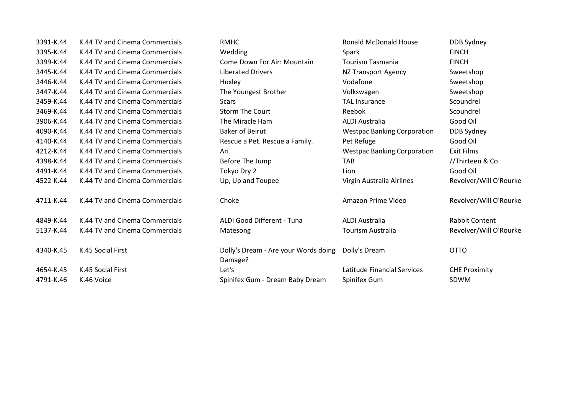| 3391-K.44 | K.44 TV and Cinema Commercials | <b>RMHC</b>                                     | <b>Ronald McDonald House</b>       | <b>DDB Sydney</b>      |
|-----------|--------------------------------|-------------------------------------------------|------------------------------------|------------------------|
| 3395-K.44 | K.44 TV and Cinema Commercials | Wedding                                         | Spark                              | <b>FINCH</b>           |
| 3399-K.44 | K.44 TV and Cinema Commercials | Come Down For Air: Mountain                     | <b>Tourism Tasmania</b>            | <b>FINCH</b>           |
| 3445-K.44 | K.44 TV and Cinema Commercials | <b>Liberated Drivers</b>                        | <b>NZ Transport Agency</b>         | Sweetshop              |
| 3446-K.44 | K.44 TV and Cinema Commercials | Huxley                                          | Vodafone                           | Sweetshop              |
| 3447-K.44 | K.44 TV and Cinema Commercials | The Youngest Brother                            | Volkswagen                         | Sweetshop              |
| 3459-K.44 | K.44 TV and Cinema Commercials | Scars                                           | <b>TAL Insurance</b>               | Scoundrel              |
| 3469-K.44 | K.44 TV and Cinema Commercials | <b>Storm The Court</b>                          | Reebok                             | Scoundrel              |
| 3906-K.44 | K.44 TV and Cinema Commercials | The Miracle Ham                                 | ALDI Australia                     | Good Oil               |
| 4090-K.44 | K.44 TV and Cinema Commercials | <b>Baker of Beirut</b>                          | <b>Westpac Banking Corporation</b> | DDB Sydney             |
| 4140-K.44 | K.44 TV and Cinema Commercials | Rescue a Pet. Rescue a Family.                  | Pet Refuge                         | Good Oil               |
| 4212-K.44 | K.44 TV and Cinema Commercials | Ari                                             | <b>Westpac Banking Corporation</b> | <b>Exit Films</b>      |
| 4398-K.44 | K.44 TV and Cinema Commercials | Before The Jump                                 | <b>TAB</b>                         | //Thirteen & Co        |
| 4491-K.44 | K.44 TV and Cinema Commercials | Tokyo Dry 2                                     | Lion                               | Good Oil               |
| 4522-K.44 | K.44 TV and Cinema Commercials | Up, Up and Toupee                               | Virgin Australia Airlines          | Revolver/Will O'Rourke |
| 4711-K.44 | K.44 TV and Cinema Commercials | Choke                                           | Amazon Prime Video                 | Revolver/Will O'Rourke |
| 4849-K.44 | K.44 TV and Cinema Commercials | ALDI Good Different - Tuna                      | <b>ALDI Australia</b>              | <b>Rabbit Content</b>  |
| 5137-K.44 | K.44 TV and Cinema Commercials | Matesong                                        | Tourism Australia                  | Revolver/Will O'Rourke |
| 4340-K.45 | K.45 Social First              | Dolly's Dream - Are your Words doing<br>Damage? | Dolly's Dream                      | <b>OTTO</b>            |
| 4654-K.45 | K.45 Social First              | Let's                                           | Latitude Financial Services        | <b>CHE Proximity</b>   |
| 4791-K.46 | K.46 Voice                     | Spinifex Gum - Dream Baby Dream                 | Spinifex Gum                       | <b>SDWM</b>            |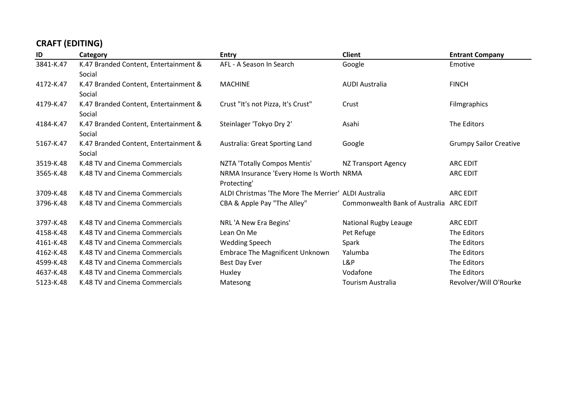# **CRAFT (EDITING)**

| ID        | Category                              | <b>Entry</b>                                         | <b>Client</b>                           | <b>Entrant Company</b>        |
|-----------|---------------------------------------|------------------------------------------------------|-----------------------------------------|-------------------------------|
| 3841-K.47 | K.47 Branded Content, Entertainment & | AFL - A Season In Search                             | Google                                  | Emotive                       |
|           | Social                                |                                                      |                                         |                               |
| 4172-K.47 | K.47 Branded Content, Entertainment & | <b>MACHINE</b>                                       | <b>AUDI Australia</b>                   | <b>FINCH</b>                  |
|           | Social                                |                                                      |                                         |                               |
| 4179-K.47 | K.47 Branded Content, Entertainment & | Crust "It's not Pizza, It's Crust"                   | Crust                                   | <b>Filmgraphics</b>           |
|           | Social                                |                                                      |                                         |                               |
| 4184-K.47 | K.47 Branded Content, Entertainment & | Steinlager 'Tokyo Dry 2'                             | Asahi                                   | The Editors                   |
|           | Social                                |                                                      |                                         |                               |
| 5167-K.47 | K.47 Branded Content, Entertainment & | Australia: Great Sporting Land                       | Google                                  | <b>Grumpy Sailor Creative</b> |
|           | Social                                |                                                      |                                         |                               |
| 3519-K.48 | K.48 TV and Cinema Commercials        | NZTA 'Totally Compos Mentis'                         | NZ Transport Agency                     | <b>ARC EDIT</b>               |
| 3565-K.48 | K.48 TV and Cinema Commercials        | NRMA Insurance 'Every Home Is Worth NRMA             |                                         | <b>ARC EDIT</b>               |
|           |                                       | Protecting'                                          |                                         |                               |
| 3709-K.48 | K.48 TV and Cinema Commercials        | ALDI Christmas 'The More The Merrier' ALDI Australia |                                         | <b>ARC EDIT</b>               |
| 3796-K.48 | K.48 TV and Cinema Commercials        | CBA & Apple Pay "The Alley"                          | Commonwealth Bank of Australia ARC EDIT |                               |
|           |                                       |                                                      |                                         |                               |
| 3797-K.48 | K.48 TV and Cinema Commercials        | NRL 'A New Era Begins'                               | <b>National Rugby Leauge</b>            | <b>ARC EDIT</b>               |
| 4158-K.48 | K.48 TV and Cinema Commercials        | Lean On Me                                           | Pet Refuge                              | The Editors                   |
| 4161-K.48 | K.48 TV and Cinema Commercials        | <b>Wedding Speech</b>                                | Spark                                   | The Editors                   |
| 4162-K.48 | K.48 TV and Cinema Commercials        | Embrace The Magnificent Unknown                      | Yalumba                                 | The Editors                   |
| 4599-K.48 | K.48 TV and Cinema Commercials        | Best Day Ever                                        | L&P                                     | The Editors                   |
| 4637-K.48 | K.48 TV and Cinema Commercials        | Huxley                                               | Vodafone                                | The Editors                   |
| 5123-K.48 | K.48 TV and Cinema Commercials        | Matesong                                             | <b>Tourism Australia</b>                | Revolver/Will O'Rourke        |
|           |                                       |                                                      |                                         |                               |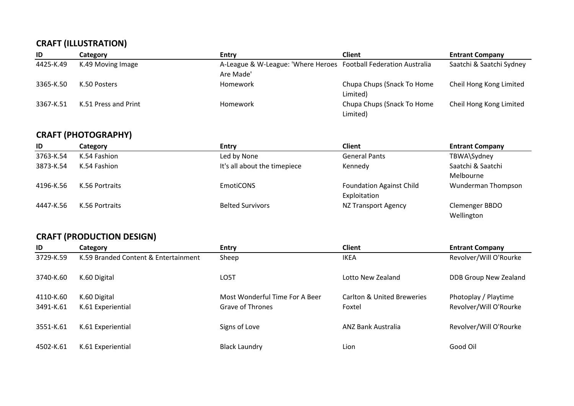#### **CRAFT (ILLUSTRATION)**

| ID        | Category             | Entry                                                            | <b>Client</b>              | <b>Entrant Company</b>   |
|-----------|----------------------|------------------------------------------------------------------|----------------------------|--------------------------|
| 4425-K.49 | K.49 Moving Image    | A-League & W-League: 'Where Heroes Football Federation Australia |                            | Saatchi & Saatchi Sydney |
|           |                      | Are Made'                                                        |                            |                          |
| 3365-K.50 | K.50 Posters         | Homework                                                         | Chupa Chups (Snack To Home | Cheil Hong Kong Limited  |
|           |                      |                                                                  | Limited)                   |                          |
| 3367-K.51 | K.51 Press and Print | <b>Homework</b>                                                  | Chupa Chups (Snack To Home | Cheil Hong Kong Limited  |
|           |                      |                                                                  | Limited)                   |                          |

## **CRAFT (PHOTOGRAPHY)**

| ID        | Category       | <b>Entry</b>                 | <b>Client</b>                                   | <b>Entrant Company</b>         |
|-----------|----------------|------------------------------|-------------------------------------------------|--------------------------------|
| 3763-K.54 | K.54 Fashion   | Led by None                  | <b>General Pants</b>                            | TBWA\Sydney                    |
| 3873-K.54 | K.54 Fashion   | It's all about the timepiece | Kennedy                                         | Saatchi & Saatchi<br>Melbourne |
| 4196-K.56 | K.56 Portraits | EmotiCONS                    | <b>Foundation Against Child</b><br>Exploitation | Wunderman Thompson             |
| 4447-K.56 | K.56 Portraits | <b>Belted Survivors</b>      | <b>NZ Transport Agency</b>                      | Clemenger BBDO<br>Wellington   |

# **CRAFT (PRODUCTION DESIGN)**

| ID        | Category                             | <b>Entry</b>                   | <b>Client</b>              | <b>Entrant Company</b> |
|-----------|--------------------------------------|--------------------------------|----------------------------|------------------------|
| 3729-K.59 | K.59 Branded Content & Entertainment | Sheep                          | <b>IKEA</b>                | Revolver/Will O'Rourke |
| 3740-K.60 | K.60 Digital                         | LO5T                           | Lotto New Zealand          | DDB Group New Zealand  |
| 4110-K.60 | K.60 Digital                         | Most Wonderful Time For A Beer | Carlton & United Breweries | Photoplay / Playtime   |
| 3491-K.61 | K.61 Experiential                    | Grave of Thrones               | Foxtel                     | Revolver/Will O'Rourke |
| 3551-K.61 | K.61 Experiential                    | Signs of Love                  | <b>ANZ Bank Australia</b>  | Revolver/Will O'Rourke |
| 4502-K.61 | K.61 Experiential                    | <b>Black Laundry</b>           | Lion                       | Good Oil               |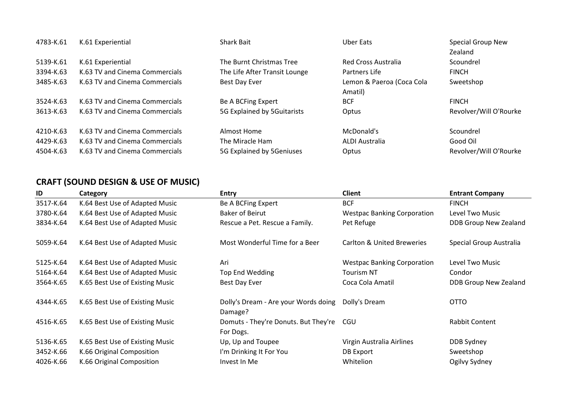| 4783-K.61 | K.61 Experiential              | <b>Shark Bait</b>             | Uber Eats                            | Special Group New<br>Zealand |
|-----------|--------------------------------|-------------------------------|--------------------------------------|------------------------------|
| 5139-K.61 | K.61 Experiential              | The Burnt Christmas Tree      | Red Cross Australia                  | Scoundrel                    |
| 3394-K.63 | K.63 TV and Cinema Commercials | The Life After Transit Lounge | Partners Life                        | <b>FINCH</b>                 |
| 3485-K.63 | K.63 TV and Cinema Commercials | Best Day Ever                 | Lemon & Paeroa (Coca Cola<br>Amatil) | Sweetshop                    |
| 3524-K.63 | K.63 TV and Cinema Commercials | Be A BCFing Expert            | <b>BCF</b>                           | <b>FINCH</b>                 |
| 3613-K.63 | K.63 TV and Cinema Commercials | 5G Explained by 5Guitarists   | Optus                                | Revolver/Will O'Rourke       |
| 4210-K.63 | K.63 TV and Cinema Commercials | Almost Home                   | McDonald's                           | Scoundrel                    |
| 4429-K.63 | K.63 TV and Cinema Commercials | The Miracle Ham               | ALDI Australia                       | Good Oil                     |
| 4504-K.63 | K.63 TV and Cinema Commercials | 5G Explained by 5Geniuses     | Optus                                | Revolver/Will O'Rourke       |

# **CRAFT (SOUND DESIGN & USE OF MUSIC)**

| ID        | Category                        | <b>Entry</b>                                      | <b>Client</b>                      | <b>Entrant Company</b>  |
|-----------|---------------------------------|---------------------------------------------------|------------------------------------|-------------------------|
| 3517-K.64 | K.64 Best Use of Adapted Music  | Be A BCFing Expert                                | <b>BCF</b>                         | <b>FINCH</b>            |
| 3780-K.64 | K.64 Best Use of Adapted Music  | Baker of Beirut                                   | <b>Westpac Banking Corporation</b> | Level Two Music         |
| 3834-K.64 | K.64 Best Use of Adapted Music  | Rescue a Pet. Rescue a Family.                    | Pet Refuge                         | DDB Group New Zealand   |
| 5059-K.64 | K.64 Best Use of Adapted Music  | Most Wonderful Time for a Beer                    | Carlton & United Breweries         | Special Group Australia |
| 5125-K.64 | K.64 Best Use of Adapted Music  | Ari                                               | <b>Westpac Banking Corporation</b> | Level Two Music         |
| 5164-K.64 | K.64 Best Use of Adapted Music  | Top End Wedding                                   | <b>Tourism NT</b>                  | Condor                  |
| 3564-K.65 | K.65 Best Use of Existing Music | Best Day Ever                                     | Coca Cola Amatil                   | DDB Group New Zealand   |
| 4344-K.65 | K.65 Best Use of Existing Music | Dolly's Dream - Are your Words doing<br>Damage?   | Dolly's Dream                      | <b>OTTO</b>             |
| 4516-K.65 | K.65 Best Use of Existing Music | Domuts - They're Donuts. But They're<br>For Dogs. | CGU                                | Rabbit Content          |
| 5136-K.65 | K.65 Best Use of Existing Music | Up, Up and Toupee                                 | Virgin Australia Airlines          | DDB Sydney              |
| 3452-K.66 | K.66 Original Composition       | I'm Drinking It For You                           | DB Export                          | Sweetshop               |
| 4026-K.66 | K.66 Original Composition       | Invest In Me                                      | Whitelion                          | Ogilvy Sydney           |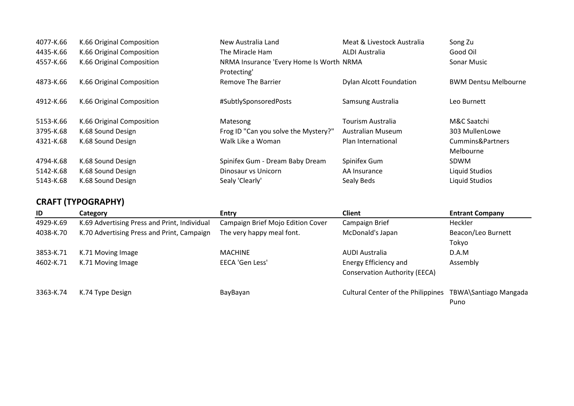| 4077-K.66 | K.66 Original Composition | New Australia Land                                      | Meat & Livestock Australia     | Song Zu                     |
|-----------|---------------------------|---------------------------------------------------------|--------------------------------|-----------------------------|
| 4435-K.66 | K.66 Original Composition | The Miracle Ham                                         | ALDI Australia                 | Good Oil                    |
| 4557-K.66 | K.66 Original Composition | NRMA Insurance 'Every Home Is Worth NRMA<br>Protecting' |                                | Sonar Music                 |
| 4873-K.66 | K.66 Original Composition | Remove The Barrier                                      | <b>Dylan Alcott Foundation</b> | <b>BWM Dentsu Melbourne</b> |
| 4912-K.66 | K.66 Original Composition | #SubtlySponsoredPosts                                   | Samsung Australia              | Leo Burnett                 |
| 5153-K.66 | K.66 Original Composition | Matesong                                                | <b>Tourism Australia</b>       | M&C Saatchi                 |
| 3795-K.68 | K.68 Sound Design         | Frog ID "Can you solve the Mystery?"                    | Australian Museum              | 303 MullenLowe              |
| 4321-K.68 | K.68 Sound Design         | Walk Like a Woman                                       | Plan International             | Cummins&Partners            |
|           |                           |                                                         |                                | Melbourne                   |
| 4794-K.68 | K.68 Sound Design         | Spinifex Gum - Dream Baby Dream                         | Spinifex Gum                   | <b>SDWM</b>                 |
| 5142-K.68 | K.68 Sound Design         | Dinosaur vs Unicorn                                     | AA Insurance                   | <b>Liquid Studios</b>       |
| 5143-K.68 | K.68 Sound Design         | Sealy 'Clearly'                                         | Sealy Beds                     | <b>Liquid Studios</b>       |

# **CRAFT (TYPOGRAPHY)**

| ID        | Category                                     | <b>Entry</b>                      | <b>Client</b>                             | <b>Entrant Company</b>        |
|-----------|----------------------------------------------|-----------------------------------|-------------------------------------------|-------------------------------|
| 4929-K.69 | K.69 Advertising Press and Print, Individual | Campaign Brief Mojo Edition Cover | Campaign Brief                            | Heckler                       |
| 4038-K.70 | K.70 Advertising Press and Print, Campaign   | The very happy meal font.         | McDonald's Japan                          | Beacon/Leo Burnett            |
|           |                                              |                                   |                                           | Tokyo                         |
| 3853-K.71 | K.71 Moving Image                            | <b>MACHINE</b>                    | AUDI Australia                            | D.A.M                         |
| 4602-K.71 | K.71 Moving Image                            | EECA 'Gen Less'                   | Energy Efficiency and                     | Assembly                      |
|           |                                              |                                   | <b>Conservation Authority (EECA)</b>      |                               |
| 3363-K.74 | K.74 Type Design                             | BayBayan                          | <b>Cultural Center of the Philippines</b> | TBWA\Santiago Mangada<br>Puno |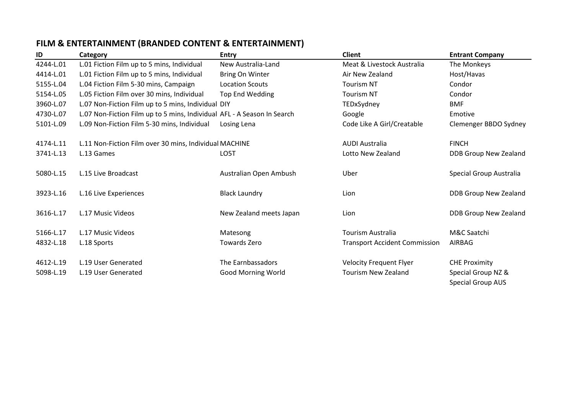# **FILM & ENTERTAINMENT (BRANDED CONTENT & ENTERTAINMENT)**

| ID        | Category                                                                | <b>Entry</b>            | <b>Client</b>                        | <b>Entrant Company</b>   |
|-----------|-------------------------------------------------------------------------|-------------------------|--------------------------------------|--------------------------|
| 4244-L.01 | L.01 Fiction Film up to 5 mins, Individual                              | New Australia-Land      | Meat & Livestock Australia           | The Monkeys              |
| 4414-L.01 | L.01 Fiction Film up to 5 mins, Individual                              | Bring On Winter         | Air New Zealand                      | Host/Havas               |
| 5155-L.04 | L.04 Fiction Film 5-30 mins, Campaign                                   | <b>Location Scouts</b>  | <b>Tourism NT</b>                    | Condor                   |
| 5154-L.05 | L.05 Fiction Film over 30 mins, Individual                              | Top End Wedding         | <b>Tourism NT</b>                    | Condor                   |
| 3960-L.07 | L.07 Non-Fiction Film up to 5 mins, Individual DIY                      |                         | TEDxSydney                           | <b>BMF</b>               |
| 4730-L.07 | L.07 Non-Fiction Film up to 5 mins, Individual AFL - A Season In Search |                         | Google                               | Emotive                  |
| 5101-L.09 | L.09 Non-Fiction Film 5-30 mins, Individual                             | Losing Lena             | Code Like A Girl/Creatable           | Clemenger BBDO Sydney    |
| 4174-L.11 | L.11 Non-Fiction Film over 30 mins, Individual MACHINE                  |                         | <b>AUDI Australia</b>                | <b>FINCH</b>             |
| 3741-L.13 | L.13 Games                                                              | LO5T                    | Lotto New Zealand                    | DDB Group New Zealand    |
| 5080-L.15 | L.15 Live Broadcast                                                     | Australian Open Ambush  | Uber                                 | Special Group Australia  |
| 3923-L.16 | L.16 Live Experiences                                                   | <b>Black Laundry</b>    | Lion                                 | DDB Group New Zealand    |
| 3616-L.17 | L.17 Music Videos                                                       | New Zealand meets Japan | Lion                                 | DDB Group New Zealand    |
| 5166-L.17 | L.17 Music Videos                                                       | Matesong                | <b>Tourism Australia</b>             | M&C Saatchi              |
| 4832-L.18 | L.18 Sports                                                             | Towards Zero            | <b>Transport Accident Commission</b> | AIRBAG                   |
| 4612-L.19 | L.19 User Generated                                                     | The Earnbassadors       | <b>Velocity Frequent Flyer</b>       | <b>CHE Proximity</b>     |
| 5098-L.19 | L.19 User Generated                                                     | Good Morning World      | <b>Tourism New Zealand</b>           | Special Group NZ &       |
|           |                                                                         |                         |                                      | <b>Special Group AUS</b> |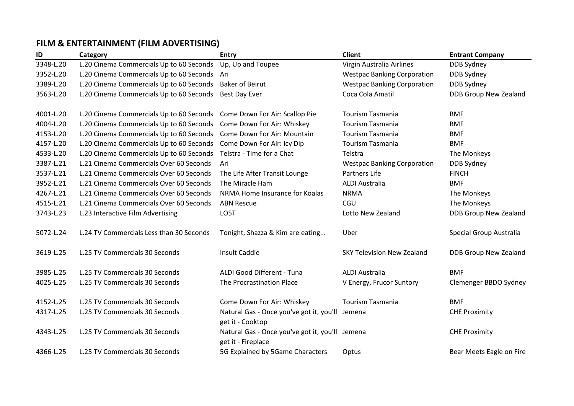# **FILM & ENTERTAINMENT (FILM ADVERTISING)**

| ID        | Category                                     | <b>Entry</b>                                                          | <b>Client</b>                      | <b>Entrant Company</b>       |
|-----------|----------------------------------------------|-----------------------------------------------------------------------|------------------------------------|------------------------------|
| 3348-L.20 | L.20 Cinema Commercials Up to 60 Seconds     | Up, Up and Toupee                                                     | Virgin Australia Airlines          | DDB Sydney                   |
| 3352-L.20 | L.20 Cinema Commercials Up to 60 Seconds Ari |                                                                       | <b>Westpac Banking Corporation</b> | DDB Sydney                   |
| 3389-L.20 | L.20 Cinema Commercials Up to 60 Seconds     | <b>Baker of Beirut</b>                                                | <b>Westpac Banking Corporation</b> | <b>DDB Sydney</b>            |
| 3563-L.20 | L.20 Cinema Commercials Up to 60 Seconds     | Best Day Ever                                                         | Coca Cola Amatil                   | <b>DDB Group New Zealand</b> |
| 4001-L.20 | L.20 Cinema Commercials Up to 60 Seconds     | Come Down For Air: Scallop Pie                                        | <b>Tourism Tasmania</b>            | <b>BMF</b>                   |
| 4004-L.20 | L.20 Cinema Commercials Up to 60 Seconds     | Come Down For Air: Whiskey                                            | <b>Tourism Tasmania</b>            | <b>BMF</b>                   |
| 4153-L.20 | L.20 Cinema Commercials Up to 60 Seconds     | Come Down For Air: Mountain                                           | <b>Tourism Tasmania</b>            | <b>BMF</b>                   |
| 4157-L.20 | L.20 Cinema Commercials Up to 60 Seconds     | Come Down For Air: Icy Dip                                            | <b>Tourism Tasmania</b>            | <b>BMF</b>                   |
| 4533-L.20 | L.20 Cinema Commercials Up to 60 Seconds     | Telstra - Time for a Chat                                             | Telstra                            | The Monkeys                  |
| 3387-L.21 | L.21 Cinema Commercials Over 60 Seconds      | Ari                                                                   | <b>Westpac Banking Corporation</b> | <b>DDB Sydney</b>            |
| 3537-L.21 | L.21 Cinema Commercials Over 60 Seconds      | The Life After Transit Lounge                                         | Partners Life                      | <b>FINCH</b>                 |
| 3952-L.21 | L.21 Cinema Commercials Over 60 Seconds      | The Miracle Ham                                                       | <b>ALDI Australia</b>              | <b>BMF</b>                   |
| 4267-L.21 | L.21 Cinema Commercials Over 60 Seconds      | NRMA Home Insurance for Koalas                                        | <b>NRMA</b>                        | The Monkeys                  |
| 4515-L.21 | L.21 Cinema Commercials Over 60 Seconds      | <b>ABN Rescue</b>                                                     | CGU                                | The Monkeys                  |
| 3743-L.23 | L.23 Interactive Film Advertising            | LO5T                                                                  | Lotto New Zealand                  | DDB Group New Zealand        |
| 5072-L.24 | L.24 TV Commercials Less than 30 Seconds     | Tonight, Shazza & Kim are eating                                      | Uber                               | Special Group Australia      |
| 3619-L.25 | L.25 TV Commercials 30 Seconds               | <b>Insult Caddie</b>                                                  | <b>SKY Television New Zealand</b>  | DDB Group New Zealand        |
| 3985-L.25 | L.25 TV Commercials 30 Seconds               | ALDI Good Different - Tuna                                            | <b>ALDI Australia</b>              | <b>BMF</b>                   |
| 4025-L.25 | L.25 TV Commercials 30 Seconds               | The Procrastination Place                                             | V Energy, Frucor Suntory           | Clemenger BBDO Sydney        |
| 4152-L.25 | L.25 TV Commercials 30 Seconds               | Come Down For Air: Whiskey                                            | <b>Tourism Tasmania</b>            | <b>BMF</b>                   |
| 4317-L.25 | L.25 TV Commercials 30 Seconds               | Natural Gas - Once you've got it, you'll<br>get it - Cooktop          | Jemena                             | <b>CHE Proximity</b>         |
| 4343-L.25 | L.25 TV Commercials 30 Seconds               | Natural Gas - Once you've got it, you'll Jemena<br>get it - Fireplace |                                    | <b>CHE Proximity</b>         |
| 4366-L.25 | L.25 TV Commercials 30 Seconds               | 5G Explained by 5Game Characters                                      | Optus                              | Bear Meets Eagle on Fire     |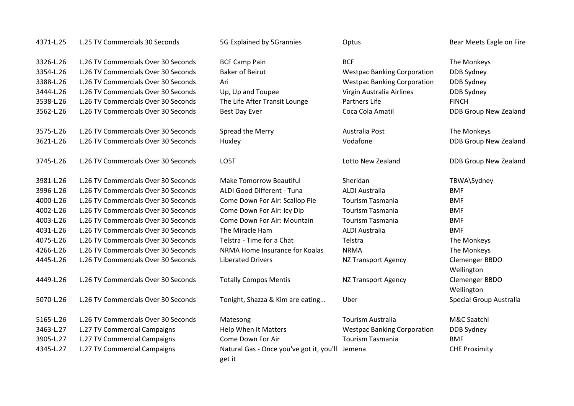| 4371-L.25 | L.25 TV Commercials 30 Seconds      | 5G Explained by 5Grannies                          | Optus                              | Bear Meets Eagle on Fire     |
|-----------|-------------------------------------|----------------------------------------------------|------------------------------------|------------------------------|
| 3326-L.26 | L.26 TV Commercials Over 30 Seconds | <b>BCF Camp Pain</b>                               | <b>BCF</b>                         | The Monkeys                  |
| 3354-L.26 | L.26 TV Commercials Over 30 Seconds | <b>Baker of Beirut</b>                             | <b>Westpac Banking Corporation</b> | DDB Sydney                   |
| 3388-L.26 | L.26 TV Commercials Over 30 Seconds | Ari                                                | <b>Westpac Banking Corporation</b> | <b>DDB Sydney</b>            |
| 3444-L.26 | L.26 TV Commercials Over 30 Seconds | Up, Up and Toupee                                  | Virgin Australia Airlines          | DDB Sydney                   |
| 3538-L.26 | L.26 TV Commercials Over 30 Seconds | The Life After Transit Lounge                      | <b>Partners Life</b>               | <b>FINCH</b>                 |
| 3562-L.26 | L.26 TV Commercials Over 30 Seconds | <b>Best Day Ever</b>                               | Coca Cola Amatil                   | DDB Group New Zealand        |
| 3575-L.26 | L.26 TV Commercials Over 30 Seconds | Spread the Merry                                   | Australia Post                     | The Monkeys                  |
| 3621-L.26 | L.26 TV Commercials Over 30 Seconds | Huxley                                             | Vodafone                           | <b>DDB Group New Zealand</b> |
| 3745-L.26 | L.26 TV Commercials Over 30 Seconds | LO5T                                               | Lotto New Zealand                  | DDB Group New Zealand        |
| 3981-L.26 | L.26 TV Commercials Over 30 Seconds | <b>Make Tomorrow Beautiful</b>                     | Sheridan                           | TBWA\Sydney                  |
| 3996-L.26 | L.26 TV Commercials Over 30 Seconds | ALDI Good Different - Tuna                         | <b>ALDI Australia</b>              | <b>BMF</b>                   |
| 4000-L.26 | L.26 TV Commercials Over 30 Seconds | Come Down For Air: Scallop Pie                     | <b>Tourism Tasmania</b>            | <b>BMF</b>                   |
| 4002-L.26 | L.26 TV Commercials Over 30 Seconds | Come Down For Air: Icy Dip                         | <b>Tourism Tasmania</b>            | <b>BMF</b>                   |
| 4003-L.26 | L.26 TV Commercials Over 30 Seconds | Come Down For Air: Mountain                        | <b>Tourism Tasmania</b>            | <b>BMF</b>                   |
| 4031-L.26 | L.26 TV Commercials Over 30 Seconds | The Miracle Ham                                    | <b>ALDI Australia</b>              | <b>BMF</b>                   |
| 4075-L.26 | L.26 TV Commercials Over 30 Seconds | Telstra - Time for a Chat                          | Telstra                            | The Monkeys                  |
| 4266-L.26 | L.26 TV Commercials Over 30 Seconds | NRMA Home Insurance for Koalas                     | <b>NRMA</b>                        | The Monkeys                  |
| 4445-L.26 | L.26 TV Commercials Over 30 Seconds | <b>Liberated Drivers</b>                           | <b>NZ Transport Agency</b>         | Clemenger BBDO               |
|           |                                     |                                                    |                                    | Wellington                   |
| 4449-L.26 | L.26 TV Commercials Over 30 Seconds | <b>Totally Compos Mentis</b>                       | <b>NZ Transport Agency</b>         | Clemenger BBDO               |
|           |                                     |                                                    |                                    | Wellington                   |
| 5070-L.26 | L.26 TV Commercials Over 30 Seconds | Tonight, Shazza & Kim are eating                   | Uber                               | Special Group Australia      |
| 5165-L.26 | L.26 TV Commercials Over 30 Seconds | Matesong                                           | <b>Tourism Australia</b>           | M&C Saatchi                  |
| 3463-L.27 | L.27 TV Commercial Campaigns        | Help When It Matters                               | <b>Westpac Banking Corporation</b> | DDB Sydney                   |
| 3905-L.27 | L.27 TV Commercial Campaigns        | Come Down For Air                                  | <b>Tourism Tasmania</b>            | <b>BMF</b>                   |
| 4345-L.27 | L.27 TV Commercial Campaigns        | Natural Gas - Once you've got it, you'll<br>get it | Jemena                             | <b>CHE Proximity</b>         |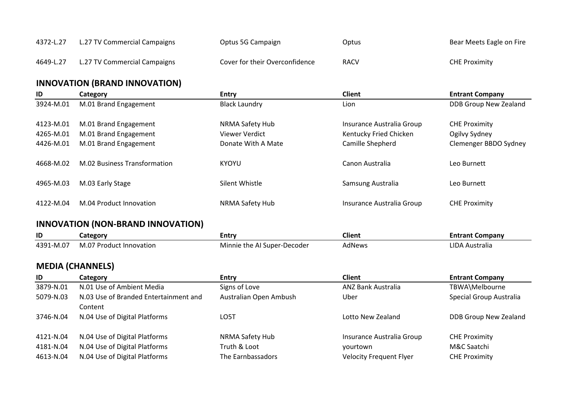| 4372-L.27 | L.27 TV Commercial Campaigns | Optus 5G Campaign              | Optus       | Bear Meets Eagle on Fire |
|-----------|------------------------------|--------------------------------|-------------|--------------------------|
| 4649-L.27 | L.27 TV Commercial Campaigns | Cover for their Overconfidence | <b>RACV</b> | <b>CHE Proximity</b>     |

## **INNOVATION (BRAND INNOVATION)**

| ID        | Category                     | <b>Entry</b>         | <b>Client</b>             | <b>Entrant Company</b> |
|-----------|------------------------------|----------------------|---------------------------|------------------------|
| 3924-M.01 | M.01 Brand Engagement        | <b>Black Laundry</b> | Lion                      | DDB Group New Zealand  |
| 4123-M.01 | M.01 Brand Engagement        | NRMA Safety Hub      | Insurance Australia Group | <b>CHE Proximity</b>   |
| 4265-M.01 | M.01 Brand Engagement        | Viewer Verdict       | Kentucky Fried Chicken    | Ogilvy Sydney          |
| 4426-M.01 | M.01 Brand Engagement        | Donate With A Mate   | Camille Shepherd          | Clemenger BBDO Sydney  |
| 4668-M.02 | M.02 Business Transformation | KYOYU                | Canon Australia           | Leo Burnett            |
| 4965-M.03 | M.03 Early Stage             | Silent Whistle       | Samsung Australia         | Leo Burnett            |
| 4122-M.04 | M.04 Product Innovation      | NRMA Safety Hub      | Insurance Australia Group | <b>CHE Proximity</b>   |

## **INNOVATION (NON-BRAND INNOVATION)**

| ID                     | _ategor                                                | entr                                                    | ---<br>Client | `ompanv<br>Entrant |
|------------------------|--------------------------------------------------------|---------------------------------------------------------|---------------|--------------------|
| $\sim$<br>4391<br>·M.U | $\sim$ $\sim$<br>. Innovation<br>ייוו∩ח⊤<br>. ur<br>vı | .<br>Decoder<br>Super-<br>Minnie<br>tne<br>$\mathbf{v}$ | AdNews        | JDA.<br>Australia  |

## **MEDIA (CHANNELS)**

| ID        | Category                              | <b>Entry</b>           | Client                         | <b>Entrant Company</b>  |
|-----------|---------------------------------------|------------------------|--------------------------------|-------------------------|
| 3879-N.01 | N.01 Use of Ambient Media             | Signs of Love          | <b>ANZ Bank Australia</b>      | TBWA\Melbourne          |
| 5079-N.03 | N.03 Use of Branded Entertainment and | Australian Open Ambush | Uber                           | Special Group Australia |
|           | Content                               |                        |                                |                         |
| 3746-N.04 | N.04 Use of Digital Platforms         | LO5T                   | Lotto New Zealand              | DDB Group New Zealand   |
|           |                                       |                        |                                |                         |
| 4121-N.04 | N.04 Use of Digital Platforms         | NRMA Safety Hub        | Insurance Australia Group      | <b>CHE Proximity</b>    |
| 4181-N.04 | N.04 Use of Digital Platforms         | Truth & Loot           | vourtown                       | M&C Saatchi             |
| 4613-N.04 | N.04 Use of Digital Platforms         | The Earnbassadors      | <b>Velocity Frequent Flyer</b> | <b>CHE Proximity</b>    |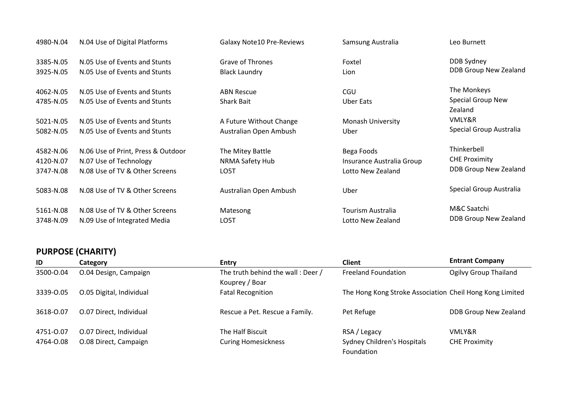| 4980-N.04              | N.04 Use of Digital Platforms                                  | <b>Galaxy Note10 Pre-Reviews</b>       | Samsung Australia         | Leo Burnett                                        |
|------------------------|----------------------------------------------------------------|----------------------------------------|---------------------------|----------------------------------------------------|
| 3385-N.05              | N.05 Use of Events and Stunts                                  | Grave of Thrones                       | Foxtel                    | DDB Sydney                                         |
| 3925-N.05              | N.05 Use of Events and Stunts                                  | <b>Black Laundry</b>                   | Lion                      | DDB Group New Zealand                              |
| 4062-N.05<br>4785-N.05 | N.05 Use of Events and Stunts<br>N.05 Use of Events and Stunts | <b>ABN Rescue</b><br><b>Shark Bait</b> | CGU<br>Uber Eats          | The Monkeys<br><b>Special Group New</b><br>Zealand |
| 5021-N.05              | N.05 Use of Events and Stunts                                  | A Future Without Change                | <b>Monash University</b>  | VMLY&R                                             |
| 5082-N.05              | N.05 Use of Events and Stunts                                  | Australian Open Ambush                 | Uber                      | Special Group Australia                            |
| 4582-N.06              | N.06 Use of Print, Press & Outdoor                             | The Mitey Battle                       | Bega Foods                | Thinkerbell                                        |
| 4120-N.07              | N.07 Use of Technology                                         | NRMA Safety Hub                        | Insurance Australia Group | <b>CHE Proximity</b>                               |
| 3747-N.08              | N.08 Use of TV & Other Screens                                 | LO5T                                   | Lotto New Zealand         | DDB Group New Zealand                              |
| 5083-N.08              | N.08 Use of TV & Other Screens                                 | Australian Open Ambush                 | Uber                      | Special Group Australia                            |
| 5161-N.08              | N.08 Use of TV & Other Screens                                 | Matesong                               | Tourism Australia         | M&C Saatchi                                        |
| 3748-N.09              | N.09 Use of Integrated Media                                   | LO5T                                   | Lotto New Zealand         | DDB Group New Zealand                              |

#### **PURPOSE (CHARITY)**

| ID        | Category                 | <b>Entry</b>                      | <b>Client</b>                                            | <b>Entrant Company</b>       |
|-----------|--------------------------|-----------------------------------|----------------------------------------------------------|------------------------------|
| 3500-0.04 | O.04 Design, Campaign    | The truth behind the wall: Deer / | <b>Freeland Foundation</b>                               | <b>Ogilvy Group Thailand</b> |
|           |                          | Kouprey / Boar                    |                                                          |                              |
| 3339-0.05 | O.05 Digital, Individual | <b>Fatal Recognition</b>          | The Hong Kong Stroke Association Cheil Hong Kong Limited |                              |
|           |                          |                                   |                                                          |                              |
| 3618-0.07 | O.07 Direct, Individual  | Rescue a Pet. Rescue a Family.    | Pet Refuge                                               | DDB Group New Zealand        |
|           |                          |                                   |                                                          |                              |
| 4751-0.07 | O.07 Direct, Individual  | The Half Biscuit                  | RSA / Legacy                                             | VMLY&R                       |
| 4764-0.08 | O.08 Direct, Campaign    | <b>Curing Homesickness</b>        | Sydney Children's Hospitals                              | <b>CHE Proximity</b>         |
|           |                          |                                   | Foundation                                               |                              |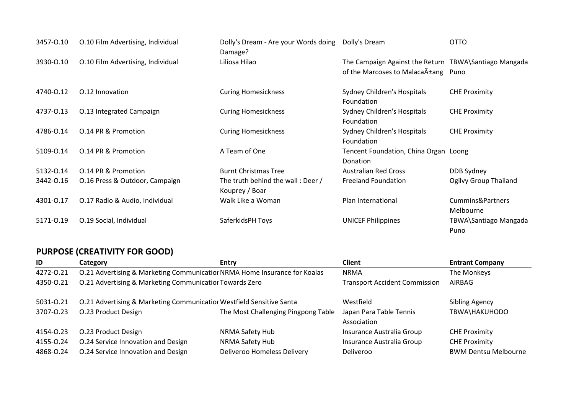| 3457-0.10 | O.10 Film Advertising, Individual | Dolly's Dream - Are your Words doing<br>Damage?     | Dolly's Dream                                                                            | <b>OTTO</b>                   |
|-----------|-----------------------------------|-----------------------------------------------------|------------------------------------------------------------------------------------------|-------------------------------|
| 3930-0.10 | O.10 Film Advertising, Individual | Liliosa Hilao                                       | The Campaign Against the Return TBWA\Santiago Mangada<br>of the Marcoses to Malaca Atang | Puno                          |
| 4740-0.12 | 0.12 Innovation                   | <b>Curing Homesickness</b>                          | Sydney Children's Hospitals<br>Foundation                                                | <b>CHE Proximity</b>          |
| 4737-0.13 | O.13 Integrated Campaign          | <b>Curing Homesickness</b>                          | Sydney Children's Hospitals<br>Foundation                                                | <b>CHE Proximity</b>          |
| 4786-0.14 | 0.14 PR & Promotion               | <b>Curing Homesickness</b>                          | Sydney Children's Hospitals<br>Foundation                                                | <b>CHE Proximity</b>          |
| 5109-0.14 | 0.14 PR & Promotion               | A Team of One                                       | Tencent Foundation, China Organ Loong<br>Donation                                        |                               |
| 5132-0.14 | 0.14 PR & Promotion               | <b>Burnt Christmas Tree</b>                         | <b>Australian Red Cross</b>                                                              | DDB Sydney                    |
| 3442-0.16 | O.16 Press & Outdoor, Campaign    | The truth behind the wall: Deer /<br>Kouprey / Boar | <b>Freeland Foundation</b>                                                               | Ogilvy Group Thailand         |
| 4301-0.17 | O.17 Radio & Audio, Individual    | Walk Like a Woman                                   | Plan International                                                                       | Cummins&Partners<br>Melbourne |
| 5171-0.19 | O.19 Social, Individual           | SaferkidsPH Toys                                    | <b>UNICEF Philippines</b>                                                                | TBWA\Santiago Mangada<br>Puno |

# **PURPOSE (CREATIVITY FOR GOOD)**

| ID        | Category                                                                  | <b>Entry</b>                        | <b>Client</b>                          | <b>Entrant Company</b>      |
|-----------|---------------------------------------------------------------------------|-------------------------------------|----------------------------------------|-----------------------------|
| 4272-0.21 | 0.21 Advertising & Marketing Communicatior NRMA Home Insurance for Koalas |                                     | <b>NRMA</b>                            | The Monkeys                 |
| 4350-0.21 | 0.21 Advertising & Marketing Communicatior Towards Zero                   |                                     | <b>Transport Accident Commission</b>   | AIRBAG                      |
| 5031-0.21 | 0.21 Advertising & Marketing Communicatior Westfield Sensitive Santa      |                                     | Westfield                              | Sibling Agency              |
| 3707-0.23 | O.23 Product Design                                                       | The Most Challenging Pingpong Table | Japan Para Table Tennis<br>Association | TBWA\HAKUHODO               |
| 4154-0.23 | O.23 Product Design                                                       | NRMA Safety Hub                     | Insurance Australia Group              | <b>CHE Proximity</b>        |
| 4155-0.24 | O.24 Service Innovation and Design                                        | NRMA Safety Hub                     | Insurance Australia Group              | <b>CHE Proximity</b>        |
| 4868-0.24 | O.24 Service Innovation and Design                                        | Deliveroo Homeless Delivery         | Deliveroo                              | <b>BWM Dentsu Melbourne</b> |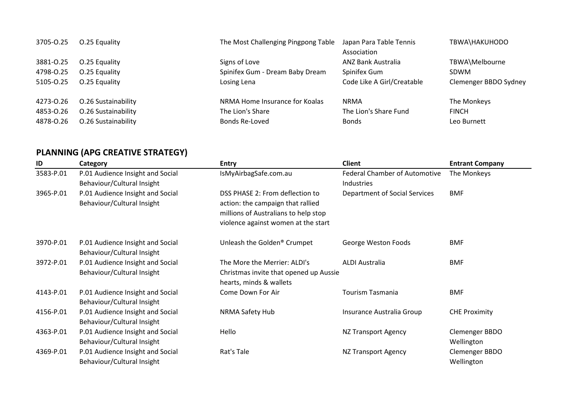| 3705-0.25 | O.25 Equality       | The Most Challenging Pingpong Table | Japan Para Table Tennis<br>Association | TBWA\HAKUHODO         |
|-----------|---------------------|-------------------------------------|----------------------------------------|-----------------------|
| 3881-0.25 | O.25 Equality       | Signs of Love                       | ANZ Bank Australia                     | TBWA\Melbourne        |
| 4798-0.25 | O.25 Equality       | Spinifex Gum - Dream Baby Dream     | Spinifex Gum                           | <b>SDWM</b>           |
| 5105-0.25 | O.25 Equality       | Losing Lena                         | Code Like A Girl/Creatable             | Clemenger BBDO Sydney |
| 4273-0.26 | O.26 Sustainability | NRMA Home Insurance for Koalas      | <b>NRMA</b>                            | The Monkeys           |
| 4853-0.26 | O.26 Sustainability | The Lion's Share                    | The Lion's Share Fund                  | <b>FINCH</b>          |
| 4878-0.26 | O.26 Sustainability | Bonds Re-Loved                      | <b>Bonds</b>                           | Leo Burnett           |

# **PLANNING (APG CREATIVE STRATEGY)**

| ID        | Category                         | <b>Entry</b>                           | <b>Client</b>                        | <b>Entrant Company</b> |
|-----------|----------------------------------|----------------------------------------|--------------------------------------|------------------------|
| 3583-P.01 | P.01 Audience Insight and Social | IsMyAirbagSafe.com.au                  | <b>Federal Chamber of Automotive</b> | The Monkeys            |
|           | Behaviour/Cultural Insight       |                                        | Industries                           |                        |
| 3965-P.01 | P.01 Audience Insight and Social | DSS PHASE 2: From deflection to        | <b>Department of Social Services</b> | <b>BMF</b>             |
|           | Behaviour/Cultural Insight       | action: the campaign that rallied      |                                      |                        |
|           |                                  | millions of Australians to help stop   |                                      |                        |
|           |                                  | violence against women at the start    |                                      |                        |
| 3970-P.01 | P.01 Audience Insight and Social | Unleash the Golden® Crumpet            | George Weston Foods                  | BMF                    |
|           | Behaviour/Cultural Insight       |                                        |                                      |                        |
| 3972-P.01 | P.01 Audience Insight and Social | The More the Merrier: ALDI's           | ALDI Australia                       | <b>BMF</b>             |
|           | Behaviour/Cultural Insight       | Christmas invite that opened up Aussie |                                      |                        |
|           |                                  | hearts, minds & wallets                |                                      |                        |
| 4143-P.01 | P.01 Audience Insight and Social | Come Down For Air                      | <b>Tourism Tasmania</b>              | <b>BMF</b>             |
|           | Behaviour/Cultural Insight       |                                        |                                      |                        |
| 4156-P.01 | P.01 Audience Insight and Social | NRMA Safety Hub                        | Insurance Australia Group            | <b>CHE Proximity</b>   |
|           | Behaviour/Cultural Insight       |                                        |                                      |                        |
| 4363-P.01 | P.01 Audience Insight and Social | Hello                                  | NZ Transport Agency                  | Clemenger BBDO         |
|           | Behaviour/Cultural Insight       |                                        |                                      | Wellington             |
| 4369-P.01 | P.01 Audience Insight and Social | Rat's Tale                             | NZ Transport Agency                  | Clemenger BBDO         |
|           | Behaviour/Cultural Insight       |                                        |                                      | Wellington             |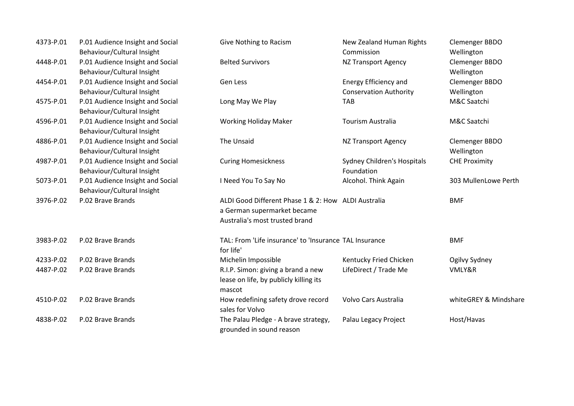| 4373-P.01 | P.01 Audience Insight and Social<br>Behaviour/Cultural Insight | Give Nothing to Racism                                 | New Zealand Human Rights<br>Commission | Clemenger BBDO<br>Wellington |
|-----------|----------------------------------------------------------------|--------------------------------------------------------|----------------------------------------|------------------------------|
| 4448-P.01 | P.01 Audience Insight and Social                               | <b>Belted Survivors</b>                                | NZ Transport Agency                    | Clemenger BBDO               |
| 4454-P.01 | Behaviour/Cultural Insight<br>P.01 Audience Insight and Social | Gen Less                                               | Energy Efficiency and                  | Wellington<br>Clemenger BBDO |
|           | Behaviour/Cultural Insight                                     |                                                        | <b>Conservation Authority</b>          | Wellington                   |
| 4575-P.01 | P.01 Audience Insight and Social                               |                                                        | <b>TAB</b>                             | M&C Saatchi                  |
|           | Behaviour/Cultural Insight                                     | Long May We Play                                       |                                        |                              |
| 4596-P.01 | P.01 Audience Insight and Social                               | <b>Working Holiday Maker</b>                           | <b>Tourism Australia</b>               | M&C Saatchi                  |
|           | Behaviour/Cultural Insight                                     |                                                        |                                        |                              |
| 4886-P.01 | P.01 Audience Insight and Social                               | The Unsaid                                             | NZ Transport Agency                    | Clemenger BBDO               |
|           | Behaviour/Cultural Insight                                     |                                                        |                                        | Wellington                   |
| 4987-P.01 | P.01 Audience Insight and Social                               | <b>Curing Homesickness</b>                             | Sydney Children's Hospitals            | <b>CHE Proximity</b>         |
|           | Behaviour/Cultural Insight                                     |                                                        | Foundation                             |                              |
| 5073-P.01 | P.01 Audience Insight and Social                               | I Need You To Say No                                   | Alcohol. Think Again                   | 303 MullenLowe Perth         |
|           | Behaviour/Cultural Insight                                     |                                                        |                                        |                              |
| 3976-P.02 | P.02 Brave Brands                                              | ALDI Good Different Phase 1 & 2: How ALDI Australia    |                                        | <b>BMF</b>                   |
|           |                                                                | a German supermarket became                            |                                        |                              |
|           |                                                                | Australia's most trusted brand                         |                                        |                              |
| 3983-P.02 | P.02 Brave Brands                                              | TAL: From 'Life insurance' to 'Insurance TAL Insurance |                                        | <b>BMF</b>                   |
|           |                                                                | for life'                                              |                                        |                              |
| 4233-P.02 | P.02 Brave Brands                                              | Michelin Impossible                                    | Kentucky Fried Chicken                 | Ogilvy Sydney                |
| 4487-P.02 | P.02 Brave Brands                                              | R.I.P. Simon: giving a brand a new                     | LifeDirect / Trade Me                  | VMLY&R                       |
|           |                                                                | lease on life, by publicly killing its<br>mascot       |                                        |                              |
| 4510-P.02 | P.02 Brave Brands                                              | How redefining safety drove record                     | Volvo Cars Australia                   | whiteGREY & Mindshare        |
|           |                                                                | sales for Volvo                                        |                                        |                              |
| 4838-P.02 | P.02 Brave Brands                                              | The Palau Pledge - A brave strategy,                   | Palau Legacy Project                   | Host/Havas                   |
|           |                                                                | grounded in sound reason                               |                                        |                              |